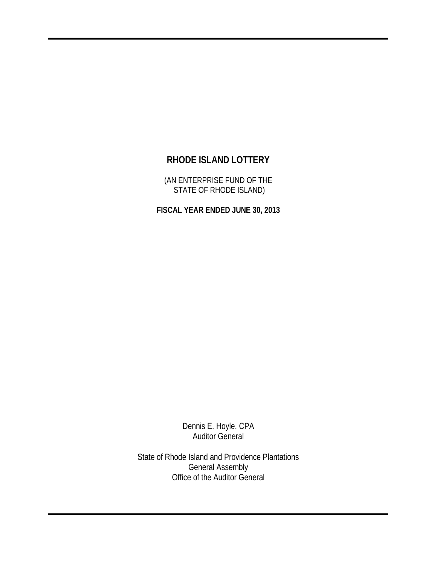(AN ENTERPRISE FUND OF THE STATE OF RHODE ISLAND)

**FISCAL YEAR ENDED JUNE 30, 2013**

Dennis E. Hoyle, CPA Auditor General

State of Rhode Island and Providence Plantations General Assembly Office of the Auditor General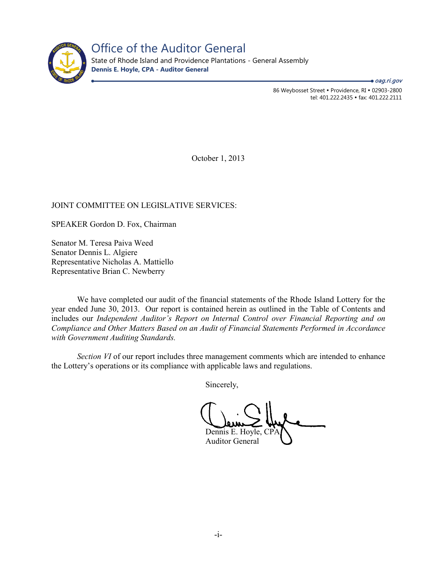

Office of the Auditor General State of Rhode Island and Providence Plantations - General Assembly

**Dennis E. Hoyle, CPA - Auditor General**

86 Weybosset Street · Providence, RI · 02903-2800 tel: 401.222.2435 · fax: 401.222.2111 ● *oag.ri.gov* 

October 1, 2013

## JOINT COMMITTEE ON LEGISLATIVE SERVICES:

SPEAKER Gordon D. Fox, Chairman

Senator M. Teresa Paiva Weed Senator Dennis L. Algiere Representative Nicholas A. Mattiello Representative Brian C. Newberry

We have completed our audit of the financial statements of the Rhode Island Lottery for the year ended June 30, 2013. Our report is contained herein as outlined in the Table of Contents and includes our *Independent Auditor's Report on Internal Control over Financial Reporting and on Compliance and Other Matters Based on an Audit of Financial Statements Performed in Accordance with Government Auditing Standards.*

*Section VI* of our report includes three management comments which are intended to enhance the Lottery's operations or its compliance with applicable laws and regulations.

Sincerely,

Dennis E. Hoyle, CP Auditor General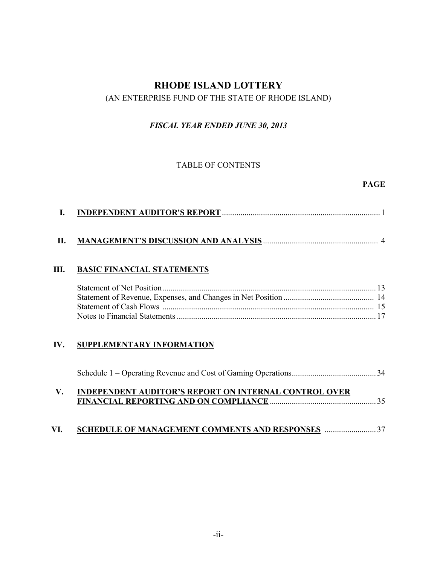## (AN ENTERPRISE FUND OF THE STATE OF RHODE ISLAND)

## *FISCAL YEAR ENDED JUNE 30, 2013*

### TABLE OF CONTENTS

## **PAGE**

|  | <b>INDEPENDENT AUDITOR'S REPORT.</b> |
|--|--------------------------------------|
|--|--------------------------------------|

# **II. MANAGEMENT'S DISCUSSION AND ANALYSIS** ........................................................ 4

## **III. BASIC FINANCIAL STATEMENTS**

## **IV. SUPPLEMENTARY INFORMATION**

| $\mathbf V$ | <b>INDEPENDENT AUDITOR'S REPORT ON INTERNAL CONTROL OVER</b> |  |
|-------------|--------------------------------------------------------------|--|

# **VI. SCHEDULE OF MANAGEMENT COMMENTS AND RESPONSES** .........................37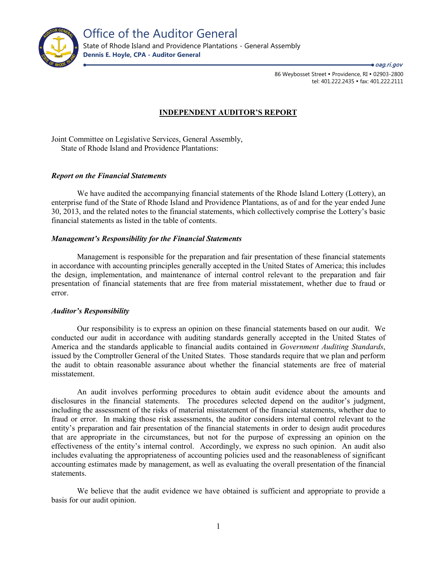

86 Weybosset Street · Providence, RI · 02903-2800 tel: 401.222.2435 · fax: 401.222.2111 ● *oag.ri.gov* 

#### **INDEPENDENT AUDITOR'S REPORT**

Joint Committee on Legislative Services, General Assembly, State of Rhode Island and Providence Plantations:

#### *Report on the Financial Statements*

We have audited the accompanying financial statements of the Rhode Island Lottery (Lottery), an enterprise fund of the State of Rhode Island and Providence Plantations, as of and for the year ended June 30, 2013, and the related notes to the financial statements, which collectively comprise the Lottery's basic financial statements as listed in the table of contents.

#### *Management's Responsibility for the Financial Statements*

Management is responsible for the preparation and fair presentation of these financial statements in accordance with accounting principles generally accepted in the United States of America; this includes the design, implementation, and maintenance of internal control relevant to the preparation and fair presentation of financial statements that are free from material misstatement, whether due to fraud or error.

#### *Auditor's Responsibility*

Our responsibility is to express an opinion on these financial statements based on our audit. We conducted our audit in accordance with auditing standards generally accepted in the United States of America and the standards applicable to financial audits contained in *Government Auditing Standards*, issued by the Comptroller General of the United States. Those standards require that we plan and perform the audit to obtain reasonable assurance about whether the financial statements are free of material misstatement.

An audit involves performing procedures to obtain audit evidence about the amounts and disclosures in the financial statements. The procedures selected depend on the auditor's judgment, including the assessment of the risks of material misstatement of the financial statements, whether due to fraud or error. In making those risk assessments, the auditor considers internal control relevant to the entity's preparation and fair presentation of the financial statements in order to design audit procedures that are appropriate in the circumstances, but not for the purpose of expressing an opinion on the effectiveness of the entity's internal control. Accordingly, we express no such opinion. An audit also includes evaluating the appropriateness of accounting policies used and the reasonableness of significant accounting estimates made by management, as well as evaluating the overall presentation of the financial statements.

We believe that the audit evidence we have obtained is sufficient and appropriate to provide a basis for our audit opinion.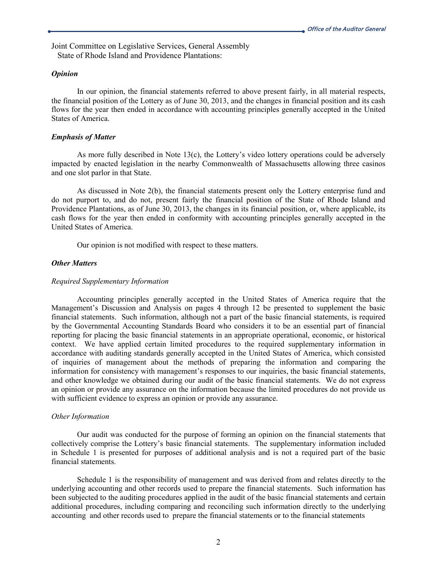Joint Committee on Legislative Services, General Assembly State of Rhode Island and Providence Plantations:

#### *Opinion*

In our opinion, the financial statements referred to above present fairly, in all material respects, the financial position of the Lottery as of June 30, 2013, and the changes in financial position and its cash flows for the year then ended in accordance with accounting principles generally accepted in the United States of America.

#### *Emphasis of Matter*

As more fully described in Note 13(c), the Lottery's video lottery operations could be adversely impacted by enacted legislation in the nearby Commonwealth of Massachusetts allowing three casinos and one slot parlor in that State.

As discussed in Note 2(b), the financial statements present only the Lottery enterprise fund and do not purport to, and do not, present fairly the financial position of the State of Rhode Island and Providence Plantations, as of June 30, 2013, the changes in its financial position, or, where applicable, its cash flows for the year then ended in conformity with accounting principles generally accepted in the United States of America.

Our opinion is not modified with respect to these matters.

#### *Other Matters*

#### *Required Supplementary Information*

Accounting principles generally accepted in the United States of America require that the Management's Discussion and Analysis on pages 4 through 12 be presented to supplement the basic financial statements. Such information, although not a part of the basic financial statements, is required by the Governmental Accounting Standards Board who considers it to be an essential part of financial reporting for placing the basic financial statements in an appropriate operational, economic, or historical context. We have applied certain limited procedures to the required supplementary information in accordance with auditing standards generally accepted in the United States of America, which consisted of inquiries of management about the methods of preparing the information and comparing the information for consistency with management's responses to our inquiries, the basic financial statements, and other knowledge we obtained during our audit of the basic financial statements. We do not express an opinion or provide any assurance on the information because the limited procedures do not provide us with sufficient evidence to express an opinion or provide any assurance.

#### *Other Information*

Our audit was conducted for the purpose of forming an opinion on the financial statements that collectively comprise the Lottery's basic financial statements. The supplementary information included in Schedule 1 is presented for purposes of additional analysis and is not a required part of the basic financial statements.

Schedule 1 is the responsibility of management and was derived from and relates directly to the underlying accounting and other records used to prepare the financial statements. Such information has been subjected to the auditing procedures applied in the audit of the basic financial statements and certain additional procedures, including comparing and reconciling such information directly to the underlying accounting and other records used to prepare the financial statements or to the financial statements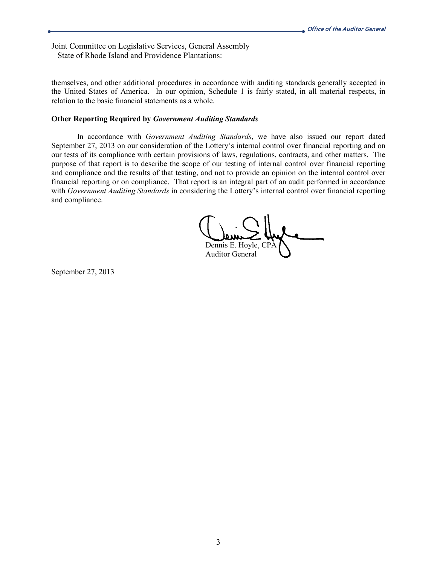Joint Committee on Legislative Services, General Assembly State of Rhode Island and Providence Plantations:

themselves, and other additional procedures in accordance with auditing standards generally accepted in the United States of America. In our opinion, Schedule 1 is fairly stated, in all material respects, in relation to the basic financial statements as a whole.

#### **Other Reporting Required by** *Government Auditing Standards*

In accordance with *Government Auditing Standards*, we have also issued our report dated September 27, 2013 on our consideration of the Lottery's internal control over financial reporting and on our tests of its compliance with certain provisions of laws, regulations, contracts, and other matters. The purpose of that report is to describe the scope of our testing of internal control over financial reporting and compliance and the results of that testing, and not to provide an opinion on the internal control over financial reporting or on compliance. That report is an integral part of an audit performed in accordance with *Government Auditing Standards* in considering the Lottery's internal control over financial reporting and compliance.

Dennis E. Hoyle, CP. Auditor General

September 27, 2013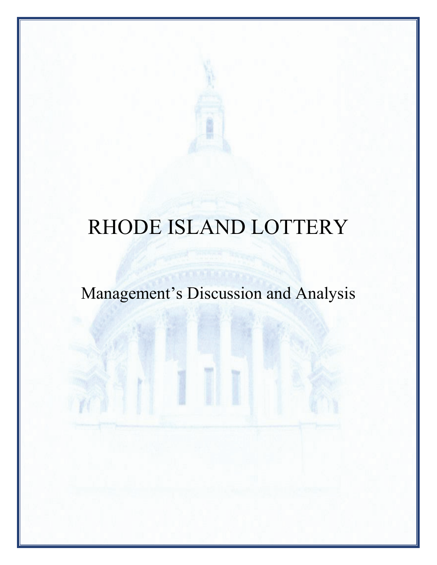Management's Discussion and Analysis

4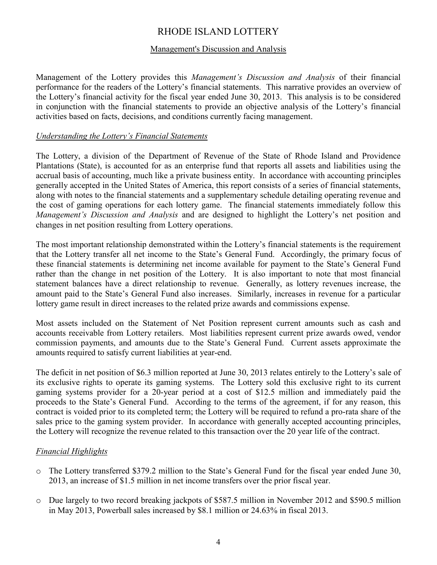## Management's Discussion and Analysis

Management of the Lottery provides this *Management's Discussion and Analysis* of their financial performance for the readers of the Lottery's financial statements. This narrative provides an overview of the Lottery's financial activity for the fiscal year ended June 30, 2013. This analysis is to be considered in conjunction with the financial statements to provide an objective analysis of the Lottery's financial activities based on facts, decisions, and conditions currently facing management.

## *Understanding the Lottery's Financial Statements*

The Lottery, a division of the Department of Revenue of the State of Rhode Island and Providence Plantations (State), is accounted for as an enterprise fund that reports all assets and liabilities using the accrual basis of accounting, much like a private business entity. In accordance with accounting principles generally accepted in the United States of America, this report consists of a series of financial statements, along with notes to the financial statements and a supplementary schedule detailing operating revenue and the cost of gaming operations for each lottery game. The financial statements immediately follow this *Management's Discussion and Analysis* and are designed to highlight the Lottery's net position and changes in net position resulting from Lottery operations.

The most important relationship demonstrated within the Lottery's financial statements is the requirement that the Lottery transfer all net income to the State's General Fund. Accordingly, the primary focus of these financial statements is determining net income available for payment to the State's General Fund rather than the change in net position of the Lottery. It is also important to note that most financial statement balances have a direct relationship to revenue. Generally, as lottery revenues increase, the amount paid to the State's General Fund also increases. Similarly, increases in revenue for a particular lottery game result in direct increases to the related prize awards and commissions expense.

Most assets included on the Statement of Net Position represent current amounts such as cash and accounts receivable from Lottery retailers. Most liabilities represent current prize awards owed, vendor commission payments, and amounts due to the State's General Fund. Current assets approximate the amounts required to satisfy current liabilities at year-end.

The deficit in net position of \$6.3 million reported at June 30, 2013 relates entirely to the Lottery's sale of its exclusive rights to operate its gaming systems. The Lottery sold this exclusive right to its current gaming systems provider for a 20-year period at a cost of \$12.5 million and immediately paid the proceeds to the State's General Fund. According to the terms of the agreement, if for any reason, this contract is voided prior to its completed term; the Lottery will be required to refund a pro-rata share of the sales price to the gaming system provider. In accordance with generally accepted accounting principles, the Lottery will recognize the revenue related to this transaction over the 20 year life of the contract.

## *Financial Highlights*

- o The Lottery transferred \$379.2 million to the State's General Fund for the fiscal year ended June 30, 2013, an increase of \$1.5 million in net income transfers over the prior fiscal year.
- o Due largely to two record breaking jackpots of \$587.5 million in November 2012 and \$590.5 million in May 2013, Powerball sales increased by \$8.1 million or 24.63% in fiscal 2013.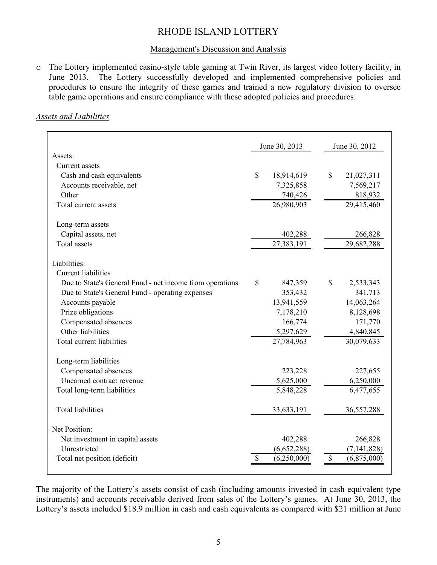#### Management's Discussion and Analysis

o The Lottery implemented casino-style table gaming at Twin River, its largest video lottery facility, in The Lottery successfully developed and implemented comprehensive policies and procedures to ensure the integrity of these games and trained a new regulatory division to oversee table game operations and ensure compliance with these adopted policies and procedures.

#### *Assets and Liabilities*

|                                                          | June 30, 2013              | June 30, 2012     |
|----------------------------------------------------------|----------------------------|-------------------|
| Assets:                                                  |                            |                   |
| Current assets                                           |                            |                   |
| Cash and cash equivalents                                | $\mathbb{S}$<br>18,914,619 | \$<br>21,027,311  |
| Accounts receivable, net                                 | 7,325,858                  | 7,569,217         |
| Other                                                    | 740,426                    | 818,932           |
| Total current assets                                     | 26,980,903                 | 29,415,460        |
| Long-term assets                                         |                            |                   |
| Capital assets, net                                      | 402,288                    | 266,828           |
| <b>Total</b> assets                                      | 27,383,191                 | 29,682,288        |
| Liabilities:                                             |                            |                   |
| <b>Current liabilities</b>                               |                            |                   |
| Due to State's General Fund - net income from operations | \$<br>847,359              | \$<br>2,533,343   |
| Due to State's General Fund - operating expenses         | 353,432                    | 341,713           |
| Accounts payable                                         | 13,941,559                 | 14,063,264        |
| Prize obligations                                        | 7,178,210                  | 8,128,698         |
| Compensated absences                                     | 166,774                    | 171,770           |
| Other liabilities                                        | 5,297,629                  | 4,840,845         |
| Total current liabilities                                | 27,784,963                 | 30,079,633        |
| Long-term liabilities                                    |                            |                   |
| Compensated absences                                     | 223,228                    | 227,655           |
| Unearned contract revenue                                | 5,625,000                  | 6,250,000         |
| Total long-term liabilities                              | 5,848,228                  | 6,477,655         |
| <b>Total liabilities</b>                                 | 33, 633, 191               | 36,557,288        |
| Net Position:                                            |                            |                   |
| Net investment in capital assets                         | 402,288                    | 266,828           |
| Unrestricted                                             | (6,652,288)                | (7, 141, 828)     |
| Total net position (deficit)                             | \$<br>(6,250,000)          | \$<br>(6,875,000) |

The majority of the Lottery's assets consist of cash (including amounts invested in cash equivalent type instruments) and accounts receivable derived from sales of the Lottery's games. At June 30, 2013, the Lottery's assets included \$18.9 million in cash and cash equivalents as compared with \$21 million at June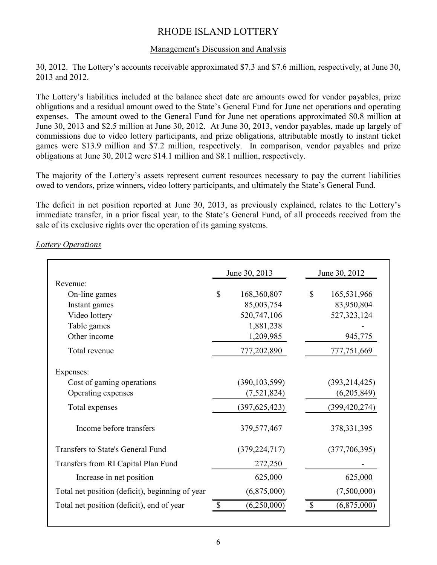## Management's Discussion and Analysis

30, 2012. The Lottery's accounts receivable approximated \$7.3 and \$7.6 million, respectively, at June 30, 2013 and 2012.

The Lottery's liabilities included at the balance sheet date are amounts owed for vendor payables, prize obligations and a residual amount owed to the State's General Fund for June net operations and operating expenses. The amount owed to the General Fund for June net operations approximated \$0.8 million at June 30, 2013 and \$2.5 million at June 30, 2012. At June 30, 2013, vendor payables, made up largely of commissions due to video lottery participants, and prize obligations, attributable mostly to instant ticket games were \$13.9 million and \$7.2 million, respectively. In comparison, vendor payables and prize obligations at June 30, 2012 were \$14.1 million and \$8.1 million, respectively.

The majority of the Lottery's assets represent current resources necessary to pay the current liabilities owed to vendors, prize winners, video lottery participants, and ultimately the State's General Fund.

The deficit in net position reported at June 30, 2013, as previously explained, relates to the Lottery's immediate transfer, in a prior fiscal year, to the State's General Fund, of all proceeds received from the sale of its exclusive rights over the operation of its gaming systems.

|                                                 | June 30, 2013     | June 30, 2012     |
|-------------------------------------------------|-------------------|-------------------|
| Revenue:                                        |                   |                   |
| On-line games                                   | \$<br>168,360,807 | \$<br>165,531,966 |
| Instant games                                   | 85,003,754        | 83,950,804        |
| Video lottery                                   | 520,747,106       | 527, 323, 124     |
| Table games                                     | 1,881,238         |                   |
| Other income                                    | 1,209,985         | 945,775           |
| Total revenue                                   | 777,202,890       | 777,751,669       |
| Expenses:                                       |                   |                   |
| Cost of gaming operations                       | (390, 103, 599)   | (393, 214, 425)   |
| Operating expenses                              | (7, 521, 824)     | (6,205,849)       |
| Total expenses                                  | (397, 625, 423)   | (399, 420, 274)   |
| Income before transfers                         | 379, 577, 467     | 378, 331, 395     |
| Transfers to State's General Fund               | (379, 224, 717)   | (377, 706, 395)   |
| Transfers from RI Capital Plan Fund             | 272,250           |                   |
| Increase in net position                        | 625,000           | 625,000           |
| Total net position (deficit), beginning of year | (6,875,000)       | (7,500,000)       |
| Total net position (deficit), end of year       | (6,250,000)       | (6,875,000)       |

*Lottery Operations*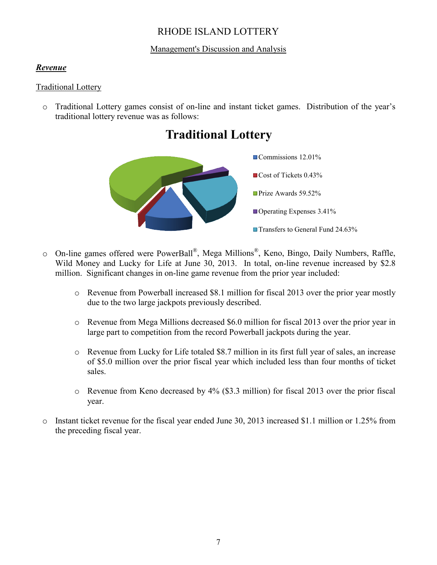## Management's Discussion and Analysis

## *Revenue*

## Traditional Lottery

o Traditional Lottery games consist of on-line and instant ticket games. Distribution of the year's traditional lottery revenue was as follows:





- o On-line games offered were PowerBall®, Mega Millions®, Keno, Bingo, Daily Numbers, Raffle, Wild Money and Lucky for Life at June 30, 2013. In total, on-line revenue increased by \$2.8 million. Significant changes in on-line game revenue from the prior year included:
	- o Revenue from Powerball increased \$8.1 million for fiscal 2013 over the prior year mostly due to the two large jackpots previously described.
	- o Revenue from Mega Millions decreased \$6.0 million for fiscal 2013 over the prior year in large part to competition from the record Powerball jackpots during the year.
	- o Revenue from Lucky for Life totaled \$8.7 million in its first full year of sales, an increase of \$5.0 million over the prior fiscal year which included less than four months of ticket sales.
	- o Revenue from Keno decreased by 4% (\$3.3 million) for fiscal 2013 over the prior fiscal year.
- o Instant ticket revenue for the fiscal year ended June 30, 2013 increased \$1.1 million or 1.25% from the preceding fiscal year.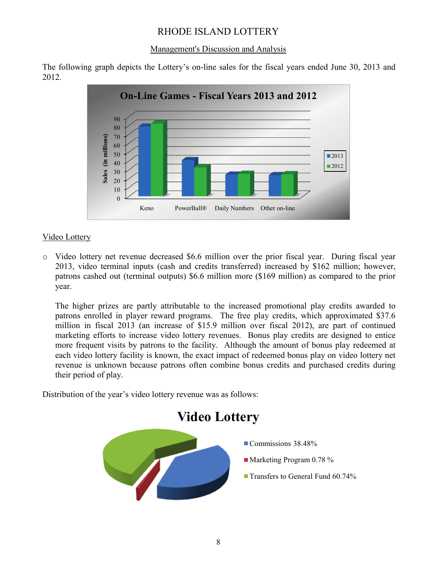## Management's Discussion and Analysis

The following graph depicts the Lottery's on-line sales for the fiscal years ended June 30, 2013 and 2012.



## Video Lottery

o Video lottery net revenue decreased \$6.6 million over the prior fiscal year. During fiscal year 2013, video terminal inputs (cash and credits transferred) increased by \$162 million; however, patrons cashed out (terminal outputs) \$6.6 million more (\$169 million) as compared to the prior year.

The higher prizes are partly attributable to the increased promotional play credits awarded to patrons enrolled in player reward programs. The free play credits, which approximated \$37.6 million in fiscal 2013 (an increase of \$15.9 million over fiscal 2012), are part of continued marketing efforts to increase video lottery revenues. Bonus play credits are designed to entice more frequent visits by patrons to the facility. Although the amount of bonus play redeemed at each video lottery facility is known, the exact impact of redeemed bonus play on video lottery net revenue is unknown because patrons often combine bonus credits and purchased credits during their period of play.

Distribution of the year's video lottery revenue was as follows:

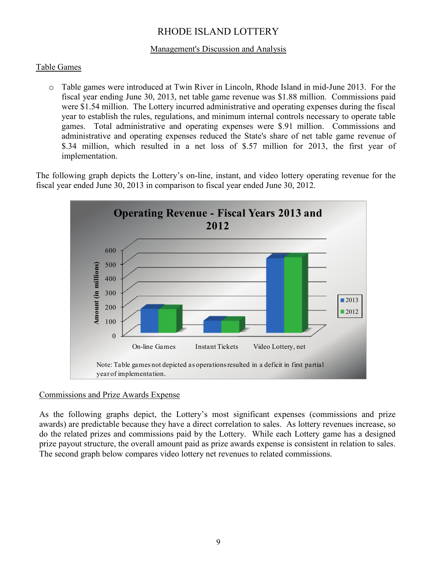## Management's Discussion and Analysis

## Table Games

o Table games were introduced at Twin River in Lincoln, Rhode Island in mid-June 2013. For the fiscal year ending June 30, 2013, net table game revenue was \$1.88 million. Commissions paid were \$1.54 million. The Lottery incurred administrative and operating expenses during the fiscal year to establish the rules, regulations, and minimum internal controls necessary to operate table games. Total administrative and operating expenses were \$.91 million. Commissions and administrative and operating expenses reduced the State's share of net table game revenue of \$.34 million, which resulted in a net loss of \$.57 million for 2013, the first year of implementation.

The following graph depicts the Lottery's on-line, instant, and video lottery operating revenue for the fiscal year ended June 30, 2013 in comparison to fiscal year ended June 30, 2012.



## Commissions and Prize Awards Expense

As the following graphs depict, the Lottery's most significant expenses (commissions and prize awards) are predictable because they have a direct correlation to sales. As lottery revenues increase, so do the related prizes and commissions paid by the Lottery. While each Lottery game has a designed prize payout structure, the overall amount paid as prize awards expense is consistent in relation to sales. The second graph below compares video lottery net revenues to related commissions.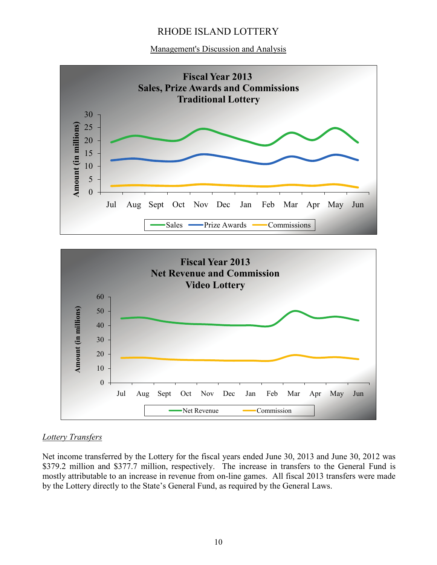Management's Discussion and Analysis





## *Lottery Transfers*

Net income transferred by the Lottery for the fiscal years ended June 30, 2013 and June 30, 2012 was \$379.2 million and \$377.7 million, respectively. The increase in transfers to the General Fund is mostly attributable to an increase in revenue from on-line games. All fiscal 2013 transfers were made by the Lottery directly to the State's General Fund, as required by the General Laws.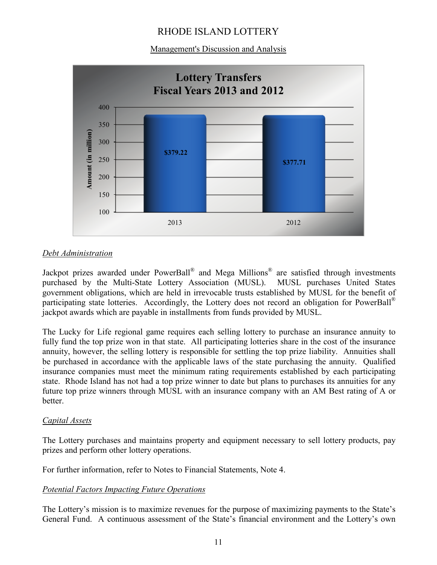Management's Discussion and Analysis



## *Debt Administration*

Jackpot prizes awarded under PowerBall® and Mega Millions® are satisfied through investments purchased by the Multi-State Lottery Association (MUSL). MUSL purchases United States government obligations, which are held in irrevocable trusts established by MUSL for the benefit of participating state lotteries. Accordingly, the Lottery does not record an obligation for PowerBall<sup>®</sup> jackpot awards which are payable in installments from funds provided by MUSL.

The Lucky for Life regional game requires each selling lottery to purchase an insurance annuity to fully fund the top prize won in that state. All participating lotteries share in the cost of the insurance annuity, however, the selling lottery is responsible for settling the top prize liability. Annuities shall be purchased in accordance with the applicable laws of the state purchasing the annuity. Qualified insurance companies must meet the minimum rating requirements established by each participating state. Rhode Island has not had a top prize winner to date but plans to purchases its annuities for any future top prize winners through MUSL with an insurance company with an AM Best rating of A or better.

## *Capital Assets*

The Lottery purchases and maintains property and equipment necessary to sell lottery products, pay prizes and perform other lottery operations.

For further information, refer to Notes to Financial Statements, Note 4.

## *Potential Factors Impacting Future Operations*

The Lottery's mission is to maximize revenues for the purpose of maximizing payments to the State's General Fund. A continuous assessment of the State's financial environment and the Lottery's own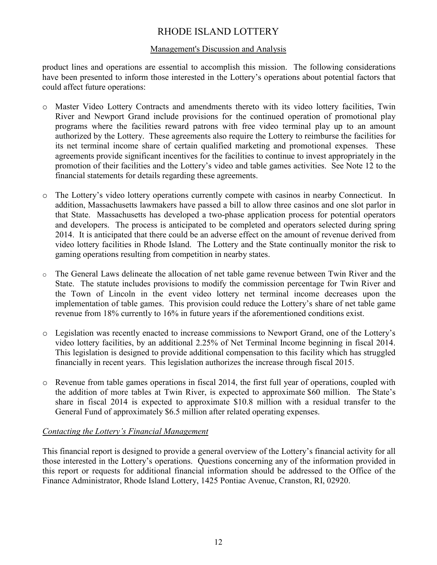## Management's Discussion and Analysis

product lines and operations are essential to accomplish this mission. The following considerations have been presented to inform those interested in the Lottery's operations about potential factors that could affect future operations:

- o Master Video Lottery Contracts and amendments thereto with its video lottery facilities, Twin River and Newport Grand include provisions for the continued operation of promotional play programs where the facilities reward patrons with free video terminal play up to an amount authorized by the Lottery. These agreements also require the Lottery to reimburse the facilities for its net terminal income share of certain qualified marketing and promotional expenses. These agreements provide significant incentives for the facilities to continue to invest appropriately in the promotion of their facilities and the Lottery's video and table games activities. See Note 12 to the financial statements for details regarding these agreements.
- o The Lottery's video lottery operations currently compete with casinos in nearby Connecticut. In addition, Massachusetts lawmakers have passed a bill to allow three casinos and one slot parlor in that State. Massachusetts has developed a two-phase application process for potential operators and developers. The process is anticipated to be completed and operators selected during spring 2014. It is anticipated that there could be an adverse effect on the amount of revenue derived from video lottery facilities in Rhode Island. The Lottery and the State continually monitor the risk to gaming operations resulting from competition in nearby states.
- o The General Laws delineate the allocation of net table game revenue between Twin River and the State. The statute includes provisions to modify the commission percentage for Twin River and the Town of Lincoln in the event video lottery net terminal income decreases upon the implementation of table games. This provision could reduce the Lottery's share of net table game revenue from 18% currently to 16% in future years if the aforementioned conditions exist.
- o Legislation was recently enacted to increase commissions to Newport Grand, one of the Lottery's video lottery facilities, by an additional 2.25% of Net Terminal Income beginning in fiscal 2014. This legislation is designed to provide additional compensation to this facility which has struggled financially in recent years. This legislation authorizes the increase through fiscal 2015.
- o Revenue from table games operations in fiscal 2014, the first full year of operations, coupled with the addition of more tables at Twin River, is expected to approximate \$60 million. The State's share in fiscal 2014 is expected to approximate \$10.8 million with a residual transfer to the General Fund of approximately \$6.5 million after related operating expenses.

## *Contacting the Lottery's Financial Management*

This financial report is designed to provide a general overview of the Lottery's financial activity for all those interested in the Lottery's operations. Questions concerning any of the information provided in this report or requests for additional financial information should be addressed to the Office of the Finance Administrator, Rhode Island Lottery, 1425 Pontiac Avenue, Cranston, RI, 02920.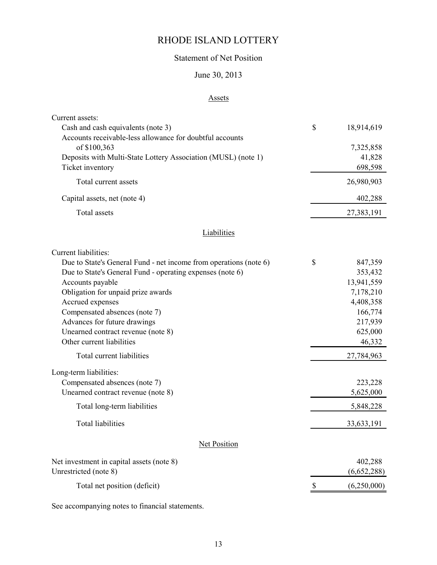## Statement of Net Position

## June 30, 2013

#### Assets

|                                                                   | \$                |
|-------------------------------------------------------------------|-------------------|
| Cash and cash equivalents (note 3)                                | 18,914,619        |
| Accounts receivable-less allowance for doubtful accounts          |                   |
| of \$100,363                                                      | 7,325,858         |
| Deposits with Multi-State Lottery Association (MUSL) (note 1)     | 41,828            |
| Ticket inventory                                                  | 698,598           |
| Total current assets                                              | 26,980,903        |
| Capital assets, net (note 4)                                      | 402,288           |
| Total assets                                                      | 27,383,191        |
| <b>Liabilities</b>                                                |                   |
| Current liabilities:                                              |                   |
| Due to State's General Fund - net income from operations (note 6) | \$<br>847,359     |
| Due to State's General Fund - operating expenses (note 6)         | 353,432           |
| Accounts payable                                                  | 13,941,559        |
| Obligation for unpaid prize awards                                | 7,178,210         |
| Accrued expenses                                                  | 4,408,358         |
| Compensated absences (note 7)                                     | 166,774           |
| Advances for future drawings                                      | 217,939           |
| Unearned contract revenue (note 8)                                | 625,000           |
| Other current liabilities                                         | 46,332            |
| Total current liabilities                                         | 27,784,963        |
| Long-term liabilities:                                            |                   |
| Compensated absences (note 7)                                     | 223,228           |
| Unearned contract revenue (note 8)                                | 5,625,000         |
| Total long-term liabilities                                       | 5,848,228         |
| <b>Total liabilities</b>                                          | 33, 633, 191      |
| Net Position                                                      |                   |
| Net investment in capital assets (note 8)                         | 402,288           |
| Unrestricted (note 8)                                             | (6,652,288)       |
| Total net position (deficit)                                      | \$<br>(6,250,000) |

See accompanying notes to financial statements.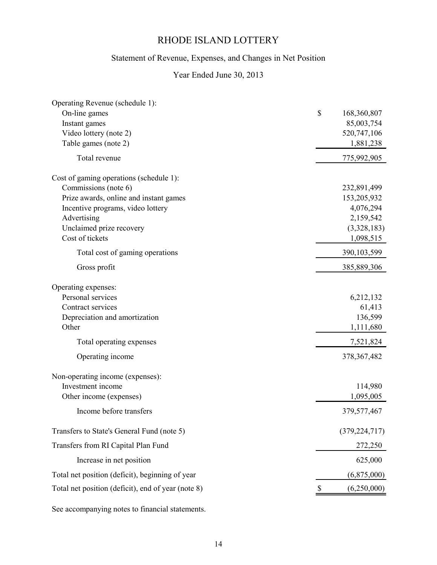## Statement of Revenue, Expenses, and Changes in Net Position

## Year Ended June 30, 2013

| Operating Revenue (schedule 1):                    |                           |                 |
|----------------------------------------------------|---------------------------|-----------------|
| On-line games                                      | \$                        | 168,360,807     |
| Instant games                                      |                           | 85,003,754      |
| Video lottery (note 2)                             |                           | 520,747,106     |
| Table games (note 2)                               |                           | 1,881,238       |
| Total revenue                                      |                           | 775,992,905     |
| Cost of gaming operations (schedule 1):            |                           |                 |
| Commissions (note 6)                               |                           | 232,891,499     |
| Prize awards, online and instant games             |                           | 153,205,932     |
| Incentive programs, video lottery                  |                           | 4,076,294       |
| Advertising                                        |                           | 2,159,542       |
| Unclaimed prize recovery                           |                           | (3,328,183)     |
| Cost of tickets                                    |                           | 1,098,515       |
| Total cost of gaming operations                    |                           | 390, 103, 599   |
| Gross profit                                       |                           | 385,889,306     |
| Operating expenses:                                |                           |                 |
| Personal services                                  |                           | 6,212,132       |
| Contract services                                  |                           | 61,413          |
| Depreciation and amortization                      |                           | 136,599         |
| Other                                              |                           | 1,111,680       |
| Total operating expenses                           |                           | 7,521,824       |
| Operating income                                   |                           | 378, 367, 482   |
| Non-operating income (expenses):                   |                           |                 |
| Investment income                                  |                           | 114,980         |
| Other income (expenses)                            |                           | 1,095,005       |
| Income before transfers                            |                           | 379, 577, 467   |
| Transfers to State's General Fund (note 5)         |                           | (379, 224, 717) |
| Transfers from RI Capital Plan Fund                |                           | 272,250         |
| Increase in net position                           |                           | 625,000         |
| Total net position (deficit), beginning of year    |                           | (6,875,000)     |
| Total net position (deficit), end of year (note 8) | $\boldsymbol{\mathsf{S}}$ | (6,250,000)     |
|                                                    |                           |                 |

See accompanying notes to financial statements.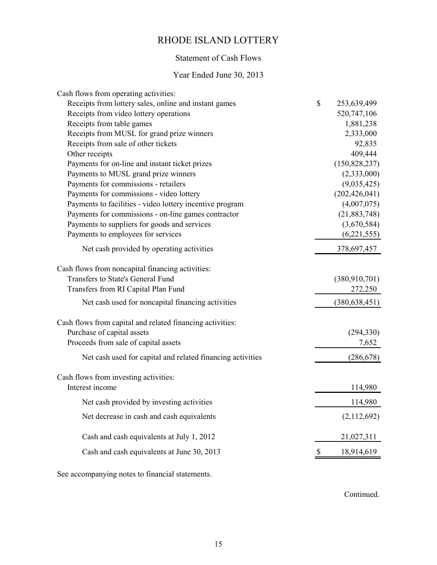## Statement of Cash Flows

## Year Ended June 30, 2013

| Cash flows from operating activities:                      |                   |
|------------------------------------------------------------|-------------------|
| Receipts from lottery sales, online and instant games      | \$<br>253,639,499 |
| Receipts from video lottery operations                     | 520,747,106       |
| Receipts from table games                                  | 1,881,238         |
| Receipts from MUSL for grand prize winners                 | 2,333,000         |
| Receipts from sale of other tickets                        | 92,835            |
| Other receipts                                             | 409,444           |
| Payments for on-line and instant ticket prizes             | (150, 828, 237)   |
| Payments to MUSL grand prize winners                       | (2,333,000)       |
| Payments for commissions - retailers                       | (9,035,425)       |
| Payments for commissions - video lottery                   | (202, 426, 041)   |
| Payments to facilities - video lottery incentive program   | (4,007,075)       |
| Payments for commissions - on-line games contractor        | (21, 883, 748)    |
| Payments to suppliers for goods and services               | (3,670,584)       |
| Payments to employees for services                         | (6, 221, 555)     |
| Net cash provided by operating activities                  | 378,697,457       |
| Cash flows from noncapital financing activities:           |                   |
| Transfers to State's General Fund                          | (380, 910, 701)   |
| Transfers from RI Capital Plan Fund                        | 272,250           |
| Net cash used for noncapital financing activities          | (380, 638, 451)   |
| Cash flows from capital and related financing activities:  |                   |
| Purchase of capital assets                                 | (294, 330)        |
| Proceeds from sale of capital assets                       | 7,652             |
| Net cash used for capital and related financing activities | (286, 678)        |
| Cash flows from investing activities:                      |                   |
| Interest income                                            | 114,980           |
| Net cash provided by investing activities                  | 114,980           |
| Net decrease in cash and cash equivalents                  | (2,112,692)       |
| Cash and cash equivalents at July 1, 2012                  | 21,027,311        |
| Cash and cash equivalents at June 30, 2013                 | 18,914,619        |
|                                                            |                   |

See accompanying notes to financial statements.

Continued.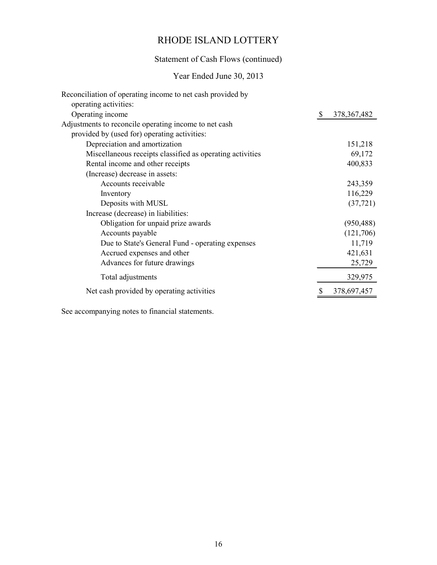## Statement of Cash Flows (continued)

## Year Ended June 30, 2013

| Reconciliation of operating income to net cash provided by<br>operating activities: |   |               |
|-------------------------------------------------------------------------------------|---|---------------|
| Operating income                                                                    | S | 378, 367, 482 |
| Adjustments to reconcile operating income to net cash                               |   |               |
| provided by (used for) operating activities:                                        |   |               |
| Depreciation and amortization                                                       |   | 151,218       |
| Miscellaneous receipts classified as operating activities                           |   | 69,172        |
| Rental income and other receipts                                                    |   | 400,833       |
| (Increase) decrease in assets:                                                      |   |               |
| Accounts receivable                                                                 |   | 243,359       |
| Inventory                                                                           |   | 116,229       |
| Deposits with MUSL                                                                  |   | (37, 721)     |
| Increase (decrease) in liabilities:                                                 |   |               |
| Obligation for unpaid prize awards                                                  |   | (950, 488)    |
| Accounts payable                                                                    |   | (121,706)     |
| Due to State's General Fund - operating expenses                                    |   | 11,719        |
| Accrued expenses and other                                                          |   | 421,631       |
| Advances for future drawings                                                        |   | 25,729        |
| Total adjustments                                                                   |   | 329,975       |
| Net cash provided by operating activities                                           |   | 378,697,457   |

See accompanying notes to financial statements.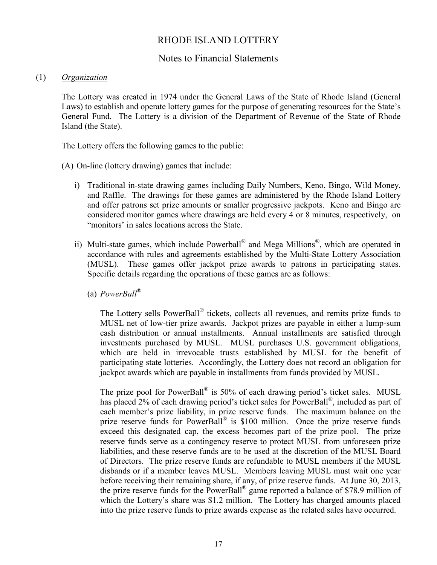## Notes to Financial Statements

#### (1) *Organization*

The Lottery was created in 1974 under the General Laws of the State of Rhode Island (General Laws) to establish and operate lottery games for the purpose of generating resources for the State's General Fund. The Lottery is a division of the Department of Revenue of the State of Rhode Island (the State).

The Lottery offers the following games to the public:

(A) On-line (lottery drawing) games that include:

- i) Traditional in-state drawing games including Daily Numbers, Keno, Bingo, Wild Money, and Raffle. The drawings for these games are administered by the Rhode Island Lottery and offer patrons set prize amounts or smaller progressive jackpots. Keno and Bingo are considered monitor games where drawings are held every 4 or 8 minutes, respectively, on "monitors' in sales locations across the State.
- ii) Multi-state games, which include Powerball<sup>®</sup> and Mega Millions<sup>®</sup>, which are operated in accordance with rules and agreements established by the Multi-State Lottery Association (MUSL). These games offer jackpot prize awards to patrons in participating states. Specific details regarding the operations of these games are as follows:
	- (a) *PowerBall®*

The Lottery sells PowerBall® tickets, collects all revenues, and remits prize funds to MUSL net of low-tier prize awards. Jackpot prizes are payable in either a lump-sum cash distribution or annual installments. Annual installments are satisfied through investments purchased by MUSL. MUSL purchases U.S. government obligations, which are held in irrevocable trusts established by MUSL for the benefit of participating state lotteries. Accordingly, the Lottery does not record an obligation for jackpot awards which are payable in installments from funds provided by MUSL.

The prize pool for PowerBall<sup>®</sup> is 50% of each drawing period's ticket sales. MUSL has placed 2% of each drawing period's ticket sales for PowerBall<sup>®</sup>, included as part of each member's prize liability, in prize reserve funds. The maximum balance on the prize reserve funds for PowerBall<sup>®</sup> is \$100 million. Once the prize reserve funds exceed this designated cap, the excess becomes part of the prize pool. The prize reserve funds serve as a contingency reserve to protect MUSL from unforeseen prize liabilities, and these reserve funds are to be used at the discretion of the MUSL Board of Directors. The prize reserve funds are refundable to MUSL members if the MUSL disbands or if a member leaves MUSL. Members leaving MUSL must wait one year before receiving their remaining share, if any, of prize reserve funds. At June 30, 2013, the prize reserve funds for the PowerBall® game reported a balance of \$78.9 million of which the Lottery's share was \$1.2 million. The Lottery has charged amounts placed into the prize reserve funds to prize awards expense as the related sales have occurred.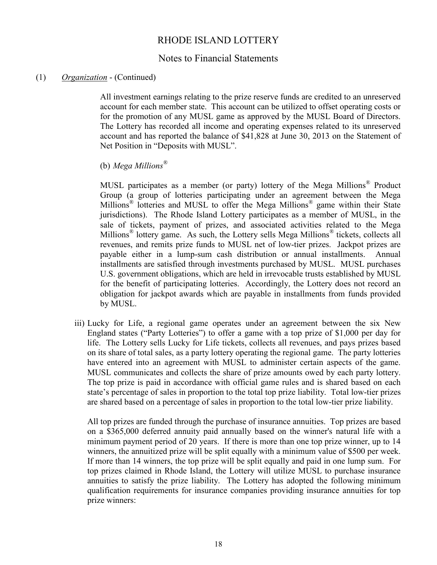## Notes to Financial Statements

#### (1) *Organization* - (Continued)

All investment earnings relating to the prize reserve funds are credited to an unreserved account for each member state. This account can be utilized to offset operating costs or for the promotion of any MUSL game as approved by the MUSL Board of Directors. The Lottery has recorded all income and operating expenses related to its unreserved account and has reported the balance of \$41,828 at June 30, 2013 on the Statement of Net Position in "Deposits with MUSL".

(b) *Mega Millions®*

MUSL participates as a member (or party) lottery of the Mega Millions*®* Product Group (a group of lotteries participating under an agreement between the Mega Millions*®* lotteries and MUSL to offer the Mega Millions*®* game within their State jurisdictions). The Rhode Island Lottery participates as a member of MUSL, in the sale of tickets, payment of prizes, and associated activities related to the Mega Millions*®* lottery game. As such, the Lottery sells Mega Millions*®* tickets, collects all revenues, and remits prize funds to MUSL net of low-tier prizes. Jackpot prizes are payable either in a lump-sum cash distribution or annual installments. Annual installments are satisfied through investments purchased by MUSL. MUSL purchases U.S. government obligations, which are held in irrevocable trusts established by MUSL for the benefit of participating lotteries. Accordingly, the Lottery does not record an obligation for jackpot awards which are payable in installments from funds provided by MUSL.

iii) Lucky for Life, a regional game operates under an agreement between the six New England states ("Party Lotteries") to offer a game with a top prize of \$1,000 per day for life. The Lottery sells Lucky for Life tickets, collects all revenues, and pays prizes based on its share of total sales, as a party lottery operating the regional game. The party lotteries have entered into an agreement with MUSL to administer certain aspects of the game. MUSL communicates and collects the share of prize amounts owed by each party lottery. The top prize is paid in accordance with official game rules and is shared based on each state's percentage of sales in proportion to the total top prize liability. Total low-tier prizes are shared based on a percentage of sales in proportion to the total low-tier prize liability.

All top prizes are funded through the purchase of insurance annuities. Top prizes are based on a \$365,000 deferred annuity paid annually based on the winner's natural life with a minimum payment period of 20 years. If there is more than one top prize winner, up to 14 winners, the annuitized prize will be split equally with a minimum value of \$500 per week. If more than 14 winners, the top prize will be split equally and paid in one lump sum. For top prizes claimed in Rhode Island, the Lottery will utilize MUSL to purchase insurance annuities to satisfy the prize liability. The Lottery has adopted the following minimum qualification requirements for insurance companies providing insurance annuities for top prize winners: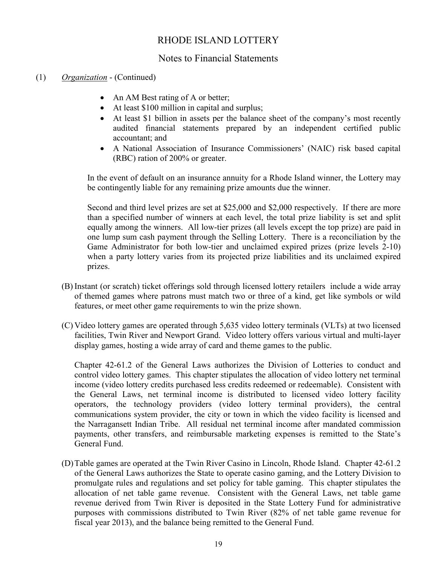# Notes to Financial Statements

## (1) *Organization* - (Continued)

- An AM Best rating of A or better;
- At least \$100 million in capital and surplus;
- At least \$1 billion in assets per the balance sheet of the company's most recently audited financial statements prepared by an independent certified public accountant; and
- A National Association of Insurance Commissioners' (NAIC) risk based capital (RBC) ration of 200% or greater.

In the event of default on an insurance annuity for a Rhode Island winner, the Lottery may be contingently liable for any remaining prize amounts due the winner.

Second and third level prizes are set at \$25,000 and \$2,000 respectively. If there are more than a specified number of winners at each level, the total prize liability is set and split equally among the winners. All low-tier prizes (all levels except the top prize) are paid in one lump sum cash payment through the Selling Lottery. There is a reconciliation by the Game Administrator for both low-tier and unclaimed expired prizes (prize levels 2-10) when a party lottery varies from its projected prize liabilities and its unclaimed expired prizes.

- (B) Instant (or scratch) ticket offerings sold through licensed lottery retailers include a wide array of themed games where patrons must match two or three of a kind, get like symbols or wild features, or meet other game requirements to win the prize shown.
- (C) Video lottery games are operated through 5,635 video lottery terminals (VLTs) at two licensed facilities, Twin River and Newport Grand. Video lottery offers various virtual and multi-layer display games, hosting a wide array of card and theme games to the public.

Chapter 42-61.2 of the General Laws authorizes the Division of Lotteries to conduct and control video lottery games. This chapter stipulates the allocation of video lottery net terminal income (video lottery credits purchased less credits redeemed or redeemable). Consistent with the General Laws, net terminal income is distributed to licensed video lottery facility operators, the technology providers (video lottery terminal providers), the central communications system provider, the city or town in which the video facility is licensed and the Narragansett Indian Tribe. All residual net terminal income after mandated commission payments, other transfers, and reimbursable marketing expenses is remitted to the State's General Fund.

(D)Table games are operated at the Twin River Casino in Lincoln, Rhode Island. Chapter 42-61.2 of the General Laws authorizes the State to operate casino gaming, and the Lottery Division to promulgate rules and regulations and set policy for table gaming. This chapter stipulates the allocation of net table game revenue. Consistent with the General Laws, net table game revenue derived from Twin River is deposited in the State Lottery Fund for administrative purposes with commissions distributed to Twin River (82% of net table game revenue for fiscal year 2013), and the balance being remitted to the General Fund.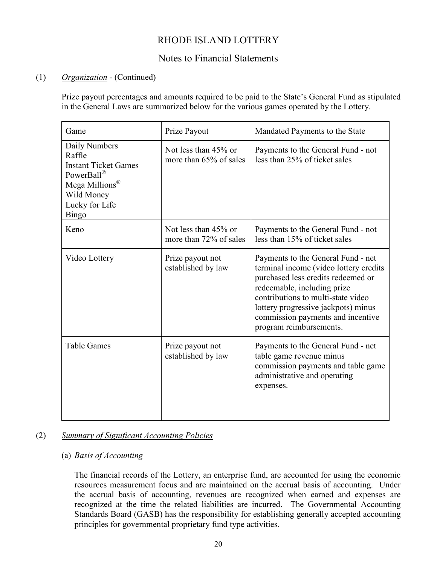# Notes to Financial Statements

## (1) *Organization* - (Continued)

Prize payout percentages and amounts required to be paid to the State's General Fund as stipulated in the General Laws are summarized below for the various games operated by the Lottery.

| Game                                                                                                                                               | Prize Payout                                   | Mandated Payments to the State                                                                                                                                                                                                                                                                 |
|----------------------------------------------------------------------------------------------------------------------------------------------------|------------------------------------------------|------------------------------------------------------------------------------------------------------------------------------------------------------------------------------------------------------------------------------------------------------------------------------------------------|
| Daily Numbers<br>Raffle<br><b>Instant Ticket Games</b><br>PowerBall®<br>Mega Millions <sup>®</sup><br>Wild Money<br>Lucky for Life<br><b>Bingo</b> | Not less than 45% or<br>more than 65% of sales | Payments to the General Fund - not<br>less than 25% of ticket sales                                                                                                                                                                                                                            |
| Keno                                                                                                                                               | Not less than 45% or<br>more than 72% of sales | Payments to the General Fund - not<br>less than 15% of ticket sales                                                                                                                                                                                                                            |
| Video Lottery                                                                                                                                      | Prize payout not<br>established by law         | Payments to the General Fund - net<br>terminal income (video lottery credits<br>purchased less credits redeemed or<br>redeemable, including prize<br>contributions to multi-state video<br>lottery progressive jackpots) minus<br>commission payments and incentive<br>program reimbursements. |
| <b>Table Games</b>                                                                                                                                 | Prize payout not<br>established by law         | Payments to the General Fund - net<br>table game revenue minus<br>commission payments and table game<br>administrative and operating<br>expenses.                                                                                                                                              |

## (2) *Summary of Significant Accounting Policies*

## (a) *Basis of Accounting*

The financial records of the Lottery, an enterprise fund, are accounted for using the economic resources measurement focus and are maintained on the accrual basis of accounting. Under the accrual basis of accounting, revenues are recognized when earned and expenses are recognized at the time the related liabilities are incurred. The Governmental Accounting Standards Board (GASB) has the responsibility for establishing generally accepted accounting principles for governmental proprietary fund type activities.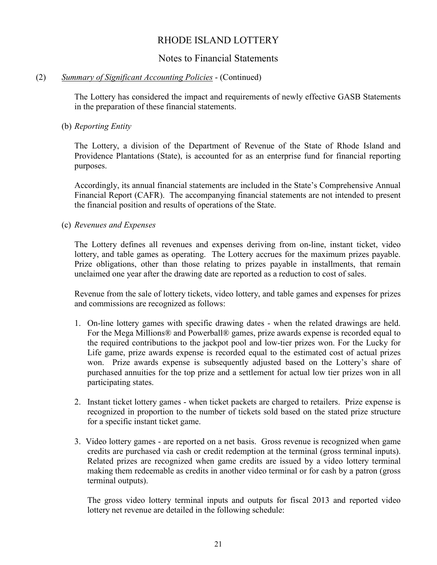## Notes to Financial Statements

### (2) *Summary of Significant Accounting Policies* - (Continued)

The Lottery has considered the impact and requirements of newly effective GASB Statements in the preparation of these financial statements.

## (b) *Reporting Entity*

The Lottery, a division of the Department of Revenue of the State of Rhode Island and Providence Plantations (State), is accounted for as an enterprise fund for financial reporting purposes.

Accordingly, its annual financial statements are included in the State's Comprehensive Annual Financial Report (CAFR). The accompanying financial statements are not intended to present the financial position and results of operations of the State.

#### (c) *Revenues and Expenses*

The Lottery defines all revenues and expenses deriving from on-line, instant ticket, video lottery, and table games as operating. The Lottery accrues for the maximum prizes payable. Prize obligations, other than those relating to prizes payable in installments, that remain unclaimed one year after the drawing date are reported as a reduction to cost of sales.

Revenue from the sale of lottery tickets, video lottery, and table games and expenses for prizes and commissions are recognized as follows:

- 1. On-line lottery games with specific drawing dates when the related drawings are held. For the Mega Millions® and Powerball® games, prize awards expense is recorded equal to the required contributions to the jackpot pool and low-tier prizes won. For the Lucky for Life game, prize awards expense is recorded equal to the estimated cost of actual prizes won. Prize awards expense is subsequently adjusted based on the Lottery's share of purchased annuities for the top prize and a settlement for actual low tier prizes won in all participating states.
- 2. Instant ticket lottery games when ticket packets are charged to retailers. Prize expense is recognized in proportion to the number of tickets sold based on the stated prize structure for a specific instant ticket game.
- 3. Video lottery games are reported on a net basis. Gross revenue is recognized when game credits are purchased via cash or credit redemption at the terminal (gross terminal inputs). Related prizes are recognized when game credits are issued by a video lottery terminal making them redeemable as credits in another video terminal or for cash by a patron (gross terminal outputs).

The gross video lottery terminal inputs and outputs for fiscal 2013 and reported video lottery net revenue are detailed in the following schedule: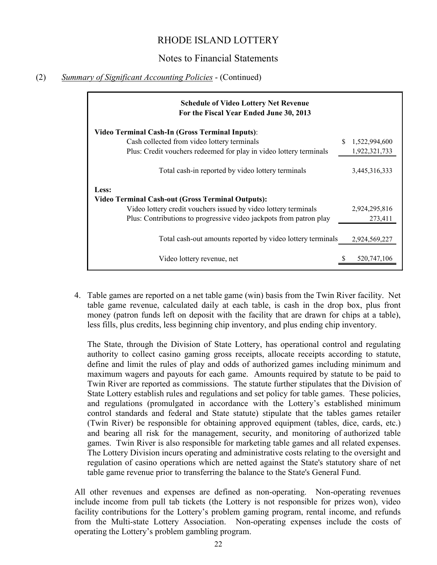## Notes to Financial Statements

## (2) *Summary of Significant Accounting Policies* - (Continued)

| <b>Schedule of Video Lottery Net Revenue</b><br>For the Fiscal Year Ended June 30, 2013 |               |
|-----------------------------------------------------------------------------------------|---------------|
| <b>Video Terminal Cash-In (Gross Terminal Inputs):</b>                                  |               |
| Cash collected from video lottery terminals                                             | 1,522,994,600 |
| Plus: Credit vouchers redeemed for play in video lottery terminals                      | 1,922,321,733 |
| Total cash-in reported by video lottery terminals                                       | 3,445,316,333 |
| Less:<br><b>Video Terminal Cash-out (Gross Terminal Outputs):</b>                       |               |
| Video lottery credit vouchers issued by video lottery terminals                         | 2,924,295,816 |
| Plus: Contributions to progressive video jackpots from patron play                      | 273,411       |
| Total cash-out amounts reported by video lottery terminals                              | 2,924,569,227 |
| Video lottery revenue, net                                                              | 520,747,106   |

4. Table games are reported on a net table game (win) basis from the Twin River facility. Net table game revenue, calculated daily at each table, is cash in the drop box, plus front money (patron funds left on deposit with the facility that are drawn for chips at a table), less fills, plus credits, less beginning chip inventory, and plus ending chip inventory.

The State, through the Division of State Lottery, has operational control and regulating authority to collect casino gaming gross receipts, allocate receipts according to statute, define and limit the rules of play and odds of authorized games including minimum and maximum wagers and payouts for each game. Amounts required by statute to be paid to Twin River are reported as commissions. The statute further stipulates that the Division of State Lottery establish rules and regulations and set policy for table games. These policies, and regulations (promulgated in accordance with the Lottery's established minimum control standards and federal and State statute) stipulate that the tables games retailer (Twin River) be responsible for obtaining approved equipment (tables, dice, cards, etc.) and bearing all risk for the management, security, and monitoring of authorized table games. Twin River is also responsible for marketing table games and all related expenses. The Lottery Division incurs operating and administrative costs relating to the oversight and regulation of casino operations which are netted against the State's statutory share of net table game revenue prior to transferring the balance to the State's General Fund.

All other revenues and expenses are defined as non-operating. Non-operating revenues include income from pull tab tickets (the Lottery is not responsible for prizes won), video facility contributions for the Lottery's problem gaming program, rental income, and refunds from the Multi-state Lottery Association. Non-operating expenses include the costs of operating the Lottery's problem gambling program.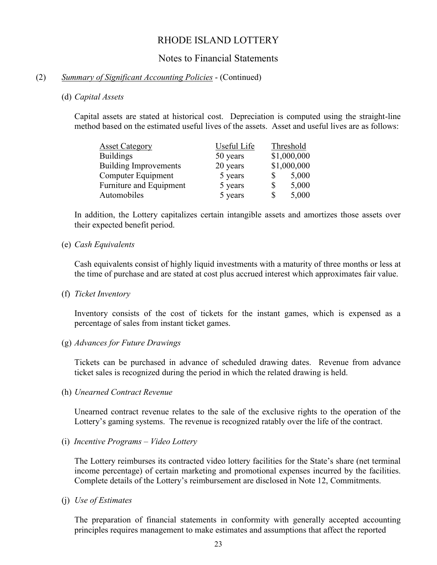## Notes to Financial Statements

### (2) *Summary of Significant Accounting Policies* - (Continued)

#### (d) *Capital Assets*

Capital assets are stated at historical cost. Depreciation is computed using the straight-line method based on the estimated useful lives of the assets. Asset and useful lives are as follows:

| <b>Asset Category</b>        | Useful Life | Threshold   |
|------------------------------|-------------|-------------|
| <b>Buildings</b>             | 50 years    | \$1,000,000 |
| <b>Building Improvements</b> | 20 years    | \$1,000,000 |
| Computer Equipment           | 5 years     | 5,000       |
| Furniture and Equipment      | 5 years     | 5,000       |
| Automobiles                  | 5 years     | 5,000       |

In addition, the Lottery capitalizes certain intangible assets and amortizes those assets over their expected benefit period.

#### (e) *Cash Equivalents*

Cash equivalents consist of highly liquid investments with a maturity of three months or less at the time of purchase and are stated at cost plus accrued interest which approximates fair value.

#### (f) *Ticket Inventory*

Inventory consists of the cost of tickets for the instant games, which is expensed as a percentage of sales from instant ticket games.

#### (g) *Advances for Future Drawings*

Tickets can be purchased in advance of scheduled drawing dates. Revenue from advance ticket sales is recognized during the period in which the related drawing is held.

(h) *Unearned Contract Revenue*

Unearned contract revenue relates to the sale of the exclusive rights to the operation of the Lottery's gaming systems. The revenue is recognized ratably over the life of the contract.

(i) *Incentive Programs – Video Lottery*

The Lottery reimburses its contracted video lottery facilities for the State's share (net terminal income percentage) of certain marketing and promotional expenses incurred by the facilities. Complete details of the Lottery's reimbursement are disclosed in Note 12, Commitments.

(j) *Use of Estimates*

The preparation of financial statements in conformity with generally accepted accounting principles requires management to make estimates and assumptions that affect the reported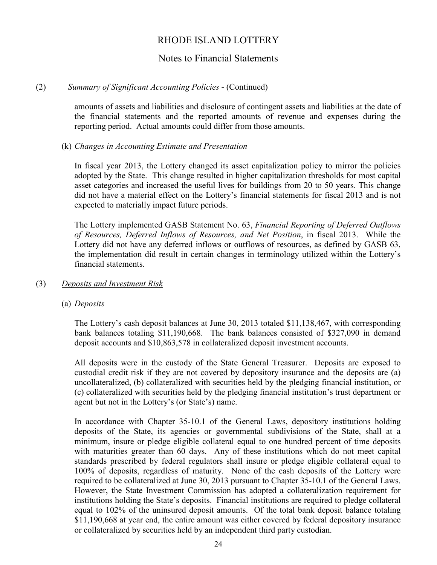# Notes to Financial Statements

## (2) *Summary of Significant Accounting Policies* - (Continued)

amounts of assets and liabilities and disclosure of contingent assets and liabilities at the date of the financial statements and the reported amounts of revenue and expenses during the reporting period. Actual amounts could differ from those amounts.

## (k) *Changes in Accounting Estimate and Presentation*

In fiscal year 2013, the Lottery changed its asset capitalization policy to mirror the policies adopted by the State. This change resulted in higher capitalization thresholds for most capital asset categories and increased the useful lives for buildings from 20 to 50 years. This change did not have a material effect on the Lottery's financial statements for fiscal 2013 and is not expected to materially impact future periods.

The Lottery implemented GASB Statement No. 63, *Financial Reporting of Deferred Outflows of Resources, Deferred Inflows of Resources, and Net Position*, in fiscal 2013. While the Lottery did not have any deferred inflows or outflows of resources, as defined by GASB 63, the implementation did result in certain changes in terminology utilized within the Lottery's financial statements.

### (3) *Deposits and Investment Risk*

## (a) *Deposits*

The Lottery's cash deposit balances at June 30, 2013 totaled \$11,138,467, with corresponding bank balances totaling \$11,190,668. The bank balances consisted of \$327,090 in demand deposit accounts and \$10,863,578 in collateralized deposit investment accounts.

All deposits were in the custody of the State General Treasurer. Deposits are exposed to custodial credit risk if they are not covered by depository insurance and the deposits are (a) uncollateralized, (b) collateralized with securities held by the pledging financial institution, or (c) collateralized with securities held by the pledging financial institution's trust department or agent but not in the Lottery's (or State's) name.

In accordance with Chapter 35-10.1 of the General Laws, depository institutions holding deposits of the State, its agencies or governmental subdivisions of the State, shall at a minimum, insure or pledge eligible collateral equal to one hundred percent of time deposits with maturities greater than 60 days. Any of these institutions which do not meet capital standards prescribed by federal regulators shall insure or pledge eligible collateral equal to 100% of deposits, regardless of maturity. None of the cash deposits of the Lottery were required to be collateralized at June 30, 2013 pursuant to Chapter 35-10.1 of the General Laws. However, the State Investment Commission has adopted a collateralization requirement for institutions holding the State's deposits. Financial institutions are required to pledge collateral equal to 102% of the uninsured deposit amounts. Of the total bank deposit balance totaling \$11,190,668 at year end, the entire amount was either covered by federal depository insurance or collateralized by securities held by an independent third party custodian.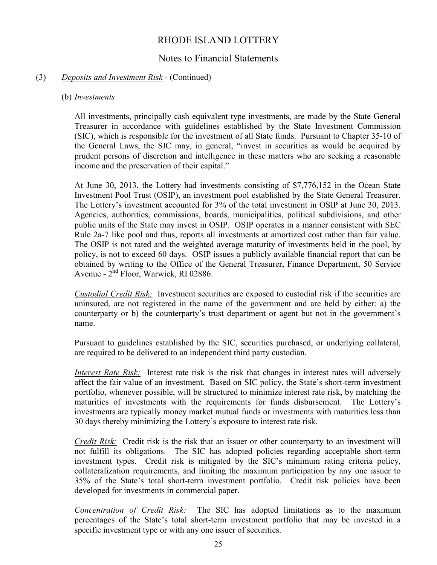# Notes to Financial Statements

## (3) *Deposits and Investment Risk* - (Continued)

## (b) *Investments*

All investments, principally cash equivalent type investments, are made by the State General Treasurer in accordance with guidelines established by the State Investment Commission (SIC), which is responsible for the investment of all State funds. Pursuant to Chapter 35-10 of the General Laws, the SIC may, in general, "invest in securities as would be acquired by prudent persons of discretion and intelligence in these matters who are seeking a reasonable income and the preservation of their capital."

At June 30, 2013, the Lottery had investments consisting of \$7,776,152 in the Ocean State Investment Pool Trust (OSIP), an investment pool established by the State General Treasurer. The Lottery's investment accounted for 3% of the total investment in OSIP at June 30, 2013. Agencies, authorities, commissions, boards, municipalities, political subdivisions, and other public units of the State may invest in OSIP. OSIP operates in a manner consistent with SEC Rule 2a-7 like pool and thus, reports all investments at amortized cost rather than fair value. The OSIP is not rated and the weighted average maturity of investments held in the pool, by policy, is not to exceed 60 days. OSIP issues a publicly available financial report that can be obtained by writing to the Office of the General Treasurer, Finance Department, 50 Service Avenue - 2<sup>nd</sup> Floor, Warwick, RI 02886.

*Custodial Credit Risk:* Investment securities are exposed to custodial risk if the securities are uninsured, are not registered in the name of the government and are held by either: a) the counterparty or b) the counterparty's trust department or agent but not in the government's name.

Pursuant to guidelines established by the SIC, securities purchased, or underlying collateral, are required to be delivered to an independent third party custodian.

*Interest Rate Risk:* Interest rate risk is the risk that changes in interest rates will adversely affect the fair value of an investment. Based on SIC policy, the State's short-term investment portfolio, whenever possible, will be structured to minimize interest rate risk, by matching the maturities of investments with the requirements for funds disbursement. The Lottery's investments are typically money market mutual funds or investments with maturities less than 30 days thereby minimizing the Lottery's exposure to interest rate risk.

*Credit Risk:* Credit risk is the risk that an issuer or other counterparty to an investment will not fulfill its obligations. The SIC has adopted policies regarding acceptable short-term investment types. Credit risk is mitigated by the SIC's minimum rating criteria policy, collateralization requirements, and limiting the maximum participation by any one issuer to 35% of the State's total short-term investment portfolio. Credit risk policies have been developed for investments in commercial paper.

*Concentration of Credit Risk:* The SIC has adopted limitations as to the maximum percentages of the State's total short-term investment portfolio that may be invested in a specific investment type or with any one issuer of securities.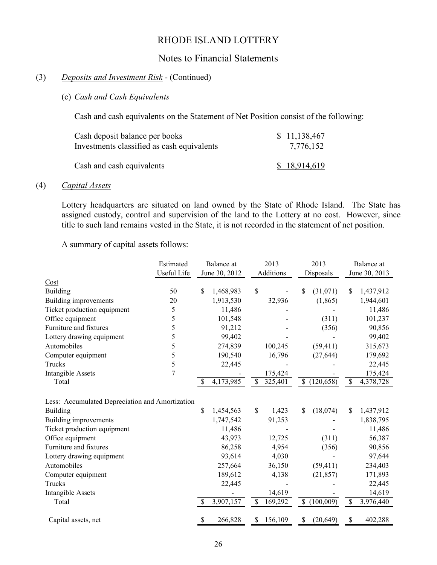## Notes to Financial Statements

## (3) *Deposits and Investment Risk* - (Continued)

## (c) *Cash and Cash Equivalents*

Cash and cash equivalents on the Statement of Net Position consist of the following:

| Cash deposit balance per books             | \$11,138,467 |
|--------------------------------------------|--------------|
| Investments classified as cash equivalents | 7,776,152    |
| Cash and cash equivalents                  | \$18,914,619 |

#### (4) *Capital Assets*

Lottery headquarters are situated on land owned by the State of Rhode Island. The State has assigned custody, control and supervision of the land to the Lottery at no cost. However, since title to such land remains vested in the State, it is not recorded in the statement of net position.

A summary of capital assets follows:

|                                                 | Estimated   | Balance at      | 2013                  | 2013                      | Balance at                 |  |  |  |
|-------------------------------------------------|-------------|-----------------|-----------------------|---------------------------|----------------------------|--|--|--|
|                                                 | Useful Life | June 30, 2012   | Additions             | Disposals                 | June 30, 2013              |  |  |  |
| Cost                                            |             |                 |                       |                           |                            |  |  |  |
| Building                                        | 50          | \$<br>1,468,983 | \$                    | \$<br>(31,071)            | \$<br>1,437,912            |  |  |  |
| <b>Building improvements</b>                    | 20          | 1,913,530       | 32,936                | (1, 865)                  | 1,944,601                  |  |  |  |
| Ticket production equipment                     | 5           | 11,486          |                       |                           | 11,486                     |  |  |  |
| Office equipment                                | 5           | 101,548         |                       | (311)                     | 101,237                    |  |  |  |
| Furniture and fixtures                          | 5           | 91,212          |                       | (356)                     | 90,856                     |  |  |  |
| Lottery drawing equipment                       | 5           | 99,402          |                       |                           | 99,402                     |  |  |  |
| Automobiles                                     | 5           | 274,839         | 100,245               | (59, 411)                 | 315,673                    |  |  |  |
| Computer equipment                              | 5           | 190,540         | 16,796                | (27, 644)                 | 179,692                    |  |  |  |
| Trucks                                          | 5           | 22,445          |                       |                           | 22,445                     |  |  |  |
| <b>Intangible Assets</b>                        | 7           |                 | 175,424               |                           | 175,424                    |  |  |  |
| Total                                           |             | 4,173,985       | 325,401<br>-S         | (120, 658)<br>\$          | 4,378,728<br><sup>\$</sup> |  |  |  |
|                                                 |             |                 |                       |                           |                            |  |  |  |
| Less: Accumulated Depreciation and Amortization |             |                 |                       |                           |                            |  |  |  |
| Building                                        |             | \$<br>1,454,563 | $\mathbb{S}$<br>1,423 | \$<br>(18,074)            | $\mathbb{S}$<br>1,437,912  |  |  |  |
| Building improvements                           |             | 1,747,542       | 91,253                |                           | 1,838,795                  |  |  |  |
| Ticket production equipment                     |             | 11,486          |                       |                           | 11,486                     |  |  |  |
| Office equipment                                |             | 43,973          | 12,725                | (311)                     | 56,387                     |  |  |  |
| Furniture and fixtures                          |             | 86,258          | 4,954                 | (356)                     | 90,856                     |  |  |  |
| Lottery drawing equipment                       |             | 93,614          | 4,030                 |                           | 97,644                     |  |  |  |
| Automobiles                                     |             | 257,664         | 36,150                | (59, 411)                 | 234,403                    |  |  |  |
| Computer equipment                              |             | 189,612         | 4,138                 | (21, 857)                 | 171,893                    |  |  |  |
| Trucks                                          |             | 22,445          |                       |                           | 22,445                     |  |  |  |
| <b>Intangible Assets</b>                        |             |                 | 14,619                |                           | 14,619                     |  |  |  |
| Total                                           |             | 3,907,157<br>\$ | 169,292<br>\$         | $\mathbb{S}$<br>(100,009) | \$<br>3,976,440            |  |  |  |
|                                                 |             |                 |                       |                           |                            |  |  |  |
| Capital assets, net                             |             | \$<br>266,828   | 156,109<br>\$         | (20, 649)<br>S            | 402,288<br>\$              |  |  |  |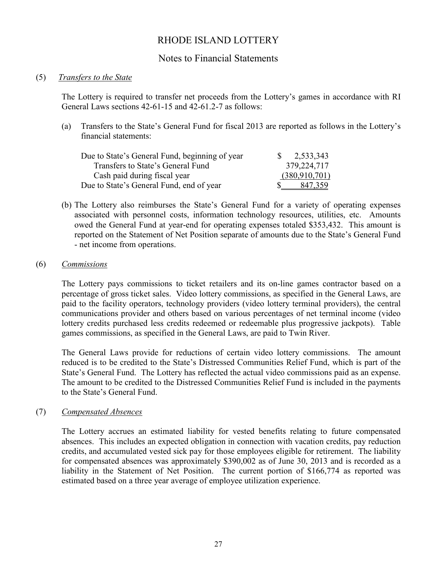# Notes to Financial Statements

## (5) *Transfers to the State*

The Lottery is required to transfer net proceeds from the Lottery's games in accordance with RI General Laws sections 42-61-15 and 42-61.2-7 as follows:

(a) Transfers to the State's General Fund for fiscal 2013 are reported as follows in the Lottery's financial statements:

| Due to State's General Fund, beginning of year | $\frac{1}{2}$ , 2,533,343 |
|------------------------------------------------|---------------------------|
| Transfers to State's General Fund              | 379,224,717               |
| Cash paid during fiscal year                   | (380, 910, 701)           |
| Due to State's General Fund, end of year       | 847,359                   |

(b) The Lottery also reimburses the State's General Fund for a variety of operating expenses associated with personnel costs, information technology resources, utilities, etc. Amounts owed the General Fund at year-end for operating expenses totaled \$353,432. This amount is reported on the Statement of Net Position separate of amounts due to the State's General Fund - net income from operations.

#### (6) *Commissions*

The Lottery pays commissions to ticket retailers and its on-line games contractor based on a percentage of gross ticket sales. Video lottery commissions, as specified in the General Laws, are paid to the facility operators, technology providers (video lottery terminal providers), the central communications provider and others based on various percentages of net terminal income (video lottery credits purchased less credits redeemed or redeemable plus progressive jackpots). Table games commissions, as specified in the General Laws, are paid to Twin River.

The General Laws provide for reductions of certain video lottery commissions. The amount reduced is to be credited to the State's Distressed Communities Relief Fund, which is part of the State's General Fund. The Lottery has reflected the actual video commissions paid as an expense. The amount to be credited to the Distressed Communities Relief Fund is included in the payments to the State's General Fund.

## (7) *Compensated Absences*

The Lottery accrues an estimated liability for vested benefits relating to future compensated absences. This includes an expected obligation in connection with vacation credits, pay reduction credits, and accumulated vested sick pay for those employees eligible for retirement. The liability for compensated absences was approximately \$390,002 as of June 30, 2013 and is recorded as a liability in the Statement of Net Position. The current portion of \$166,774 as reported was estimated based on a three year average of employee utilization experience.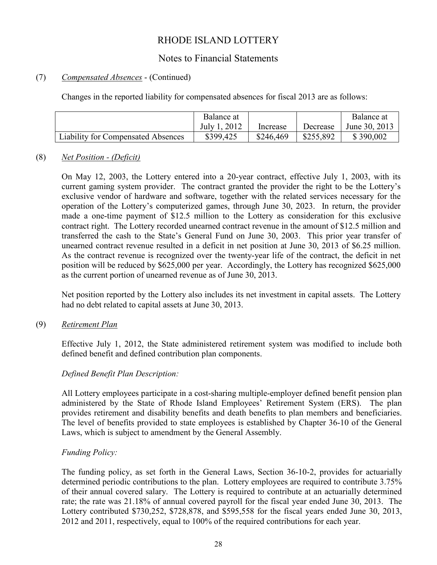# Notes to Financial Statements

## (7) *Compensated Absences* - (Continued)

Changes in the reported liability for compensated absences for fiscal 2013 are as follows:

|                                           | Balance at   |           |           | Balance at    |
|-------------------------------------------|--------------|-----------|-----------|---------------|
|                                           | July 1, 2012 | Increase  | Decrease  | June 30, 2013 |
| <b>Liability for Compensated Absences</b> | \$399,425    | \$246,469 | \$255,892 | \$390,002     |

## (8) *Net Position - (Deficit)*

On May 12, 2003, the Lottery entered into a 20-year contract, effective July 1, 2003, with its current gaming system provider. The contract granted the provider the right to be the Lottery's exclusive vendor of hardware and software, together with the related services necessary for the operation of the Lottery's computerized games, through June 30, 2023. In return, the provider made a one-time payment of \$12.5 million to the Lottery as consideration for this exclusive contract right. The Lottery recorded unearned contract revenue in the amount of \$12.5 million and transferred the cash to the State's General Fund on June 30, 2003. This prior year transfer of unearned contract revenue resulted in a deficit in net position at June 30, 2013 of \$6.25 million. As the contract revenue is recognized over the twenty-year life of the contract, the deficit in net position will be reduced by \$625,000 per year. Accordingly, the Lottery has recognized \$625,000 as the current portion of unearned revenue as of June 30, 2013.

Net position reported by the Lottery also includes its net investment in capital assets. The Lottery had no debt related to capital assets at June 30, 2013.

## (9) *Retirement Plan*

Effective July 1, 2012, the State administered retirement system was modified to include both defined benefit and defined contribution plan components.

## *Defined Benefit Plan Description:*

All Lottery employees participate in a cost-sharing multiple-employer defined benefit pension plan administered by the State of Rhode Island Employees' Retirement System (ERS). The plan provides retirement and disability benefits and death benefits to plan members and beneficiaries. The level of benefits provided to state employees is established by Chapter 36-10 of the General Laws, which is subject to amendment by the General Assembly.

#### *Funding Policy:*

The funding policy, as set forth in the General Laws, Section 36-10-2, provides for actuarially determined periodic contributions to the plan. Lottery employees are required to contribute 3.75% of their annual covered salary. The Lottery is required to contribute at an actuarially determined rate; the rate was 21.18% of annual covered payroll for the fiscal year ended June 30, 2013. The Lottery contributed \$730,252, \$728,878, and \$595,558 for the fiscal years ended June 30, 2013, 2012 and 2011, respectively, equal to 100% of the required contributions for each year.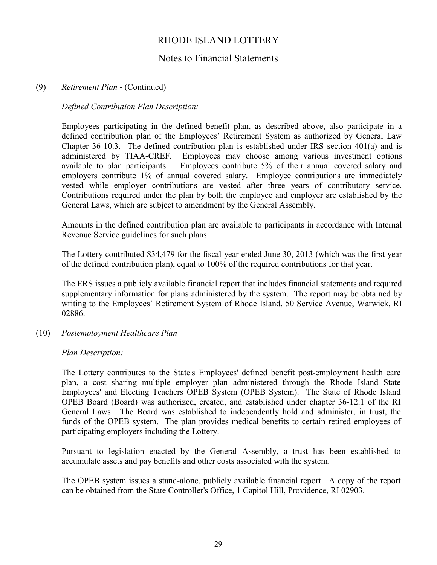# Notes to Financial Statements

## (9) *Retirement Plan* - (Continued)

## *Defined Contribution Plan Description:*

Employees participating in the defined benefit plan, as described above, also participate in a defined contribution plan of the Employees' Retirement System as authorized by General Law Chapter 36-10.3. The defined contribution plan is established under IRS section 401(a) and is administered by TIAA-CREF. Employees may choose among various investment options available to plan participants. Employees contribute 5% of their annual covered salary and employers contribute 1% of annual covered salary. Employee contributions are immediately vested while employer contributions are vested after three years of contributory service. Contributions required under the plan by both the employee and employer are established by the General Laws, which are subject to amendment by the General Assembly.

Amounts in the defined contribution plan are available to participants in accordance with Internal Revenue Service guidelines for such plans.

The Lottery contributed \$34,479 for the fiscal year ended June 30, 2013 (which was the first year of the defined contribution plan), equal to 100% of the required contributions for that year.

The ERS issues a publicly available financial report that includes financial statements and required supplementary information for plans administered by the system. The report may be obtained by writing to the Employees' Retirement System of Rhode Island, 50 Service Avenue, Warwick, RI 02886.

## (10) *Postemployment Healthcare Plan*

#### *Plan Description:*

The Lottery contributes to the State's Employees' defined benefit post-employment health care plan, a cost sharing multiple employer plan administered through the Rhode Island State Employees' and Electing Teachers OPEB System (OPEB System). The State of Rhode Island OPEB Board (Board) was authorized, created, and established under chapter 36-12.1 of the RI General Laws. The Board was established to independently hold and administer, in trust, the funds of the OPEB system. The plan provides medical benefits to certain retired employees of participating employers including the Lottery.

Pursuant to legislation enacted by the General Assembly, a trust has been established to accumulate assets and pay benefits and other costs associated with the system.

The OPEB system issues a stand-alone, publicly available financial report. A copy of the report can be obtained from the State Controller's Office, 1 Capitol Hill, Providence, RI 02903.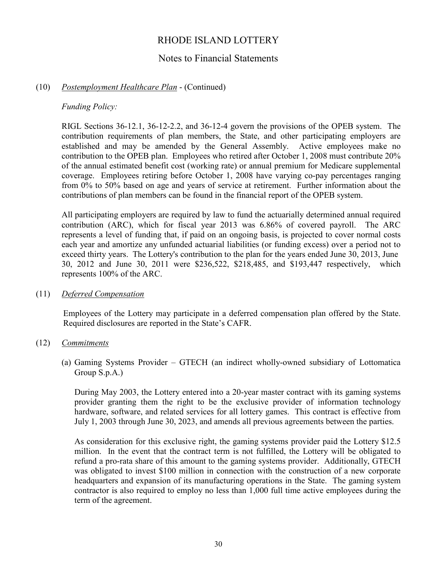## Notes to Financial Statements

## (10) *Postemployment Healthcare Plan* - (Continued)

*Funding Policy:*

RIGL Sections 36-12.1, 36-12-2.2, and 36-12-4 govern the provisions of the OPEB system. The contribution requirements of plan members, the State, and other participating employers are established and may be amended by the General Assembly. Active employees make no contribution to the OPEB plan. Employees who retired after October 1, 2008 must contribute 20% of the annual estimated benefit cost (working rate) or annual premium for Medicare supplemental coverage. Employees retiring before October 1, 2008 have varying co-pay percentages ranging from 0% to 50% based on age and years of service at retirement. Further information about the contributions of plan members can be found in the financial report of the OPEB system.

All participating employers are required by law to fund the actuarially determined annual required contribution (ARC), which for fiscal year 2013 was 6.86% of covered payroll. The ARC represents a level of funding that, if paid on an ongoing basis, is projected to cover normal costs each year and amortize any unfunded actuarial liabilities (or funding excess) over a period not to exceed thirty years. The Lottery's contribution to the plan for the years ended June 30, 2013, June 30, 2012 and June 30, 2011 were \$236,522, \$218,485, and \$193,447 respectively, which represents 100% of the ARC.

#### (11) *Deferred Compensation*

Employees of the Lottery may participate in a deferred compensation plan offered by the State. Required disclosures are reported in the State's CAFR.

#### (12) *Commitments*

(a) Gaming Systems Provider – GTECH (an indirect wholly-owned subsidiary of Lottomatica Group S.p.A.)

During May 2003, the Lottery entered into a 20-year master contract with its gaming systems provider granting them the right to be the exclusive provider of information technology hardware, software, and related services for all lottery games. This contract is effective from July 1, 2003 through June 30, 2023, and amends all previous agreements between the parties.

As consideration for this exclusive right, the gaming systems provider paid the Lottery \$12.5 million. In the event that the contract term is not fulfilled, the Lottery will be obligated to refund a pro-rata share of this amount to the gaming systems provider. Additionally, GTECH was obligated to invest \$100 million in connection with the construction of a new corporate headquarters and expansion of its manufacturing operations in the State. The gaming system contractor is also required to employ no less than 1,000 full time active employees during the term of the agreement.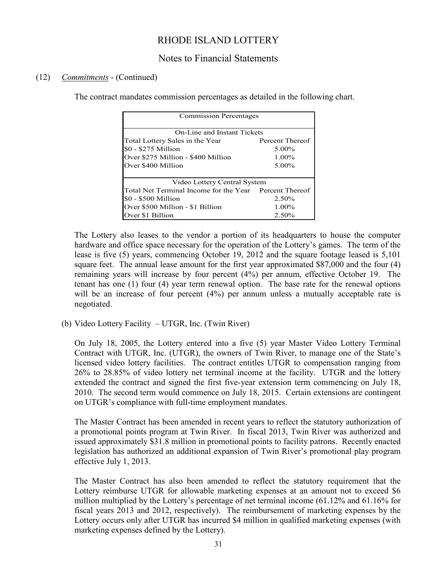# Notes to Financial Statements

## (12) *Commitments* - (Continued)

The contract mandates commission percentages as detailed in the following chart.

| <b>Commission Percentages</b>                          |                 |  |  |  |  |
|--------------------------------------------------------|-----------------|--|--|--|--|
| On-Line and Instant Tickets                            |                 |  |  |  |  |
| Total Lottery Sales in the Year                        | Percent Thereof |  |  |  |  |
| \$0 - \$275 Million                                    | $5.00\%$        |  |  |  |  |
| Over \$275 Million - \$400 Million                     | $1.00\%$        |  |  |  |  |
| Over \$400 Million                                     | $5.00\%$        |  |  |  |  |
| Video Lottery Central System                           |                 |  |  |  |  |
| Total Net Terminal Income for the Year Percent Thereof |                 |  |  |  |  |
| \$0 - \$500 Million                                    | 2.50%           |  |  |  |  |
| Over \$500 Million - \$1 Billion                       | $1.00\%$        |  |  |  |  |
| Over \$1 Billion                                       | $2.50\%$        |  |  |  |  |

The Lottery also leases to the vendor a portion of its headquarters to house the computer hardware and office space necessary for the operation of the Lottery's games. The term of the lease is five (5) years, commencing October 19, 2012 and the square footage leased is 5,101 square feet. The annual lease amount for the first year approximated \$87,000 and the four (4) remaining years will increase by four percent (4%) per annum, effective October 19. The tenant has one (1) four (4) year term renewal option. The base rate for the renewal options will be an increase of four percent (4%) per annum unless a mutually acceptable rate is negotiated.

(b) Video Lottery Facility – UTGR, Inc. (Twin River)

On July 18, 2005, the Lottery entered into a five (5) year Master Video Lottery Terminal Contract with UTGR, Inc. (UTGR), the owners of Twin River, to manage one of the State's licensed video lottery facilities. The contract entitles UTGR to compensation ranging from 26% to 28.85% of video lottery net terminal income at the facility. UTGR and the lottery extended the contract and signed the first five-year extension term commencing on July 18, 2010. The second term would commence on July 18, 2015. Certain extensions are contingent on UTGR's compliance with full-time employment mandates.

The Master Contract has been amended in recent years to reflect the statutory authorization of a promotional points program at Twin River. In fiscal 2013, Twin River was authorized and issued approximately \$31.8 million in promotional points to facility patrons. Recently enacted legislation has authorized an additional expansion of Twin River's promotional play program effective July 1, 2013.

The Master Contract has also been amended to reflect the statutory requirement that the Lottery reimburse UTGR for allowable marketing expenses at an amount not to exceed \$6 million multiplied by the Lottery's percentage of net terminal income (61.12% and 61.16% for fiscal years 2013 and 2012, respectively). The reimbursement of marketing expenses by the Lottery occurs only after UTGR has incurred \$4 million in qualified marketing expenses (with marketing expenses defined by the Lottery).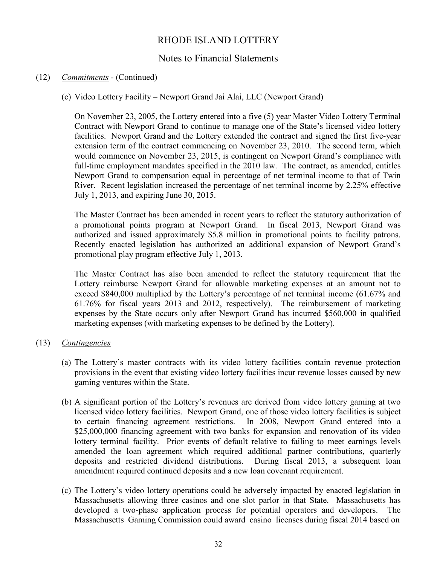# Notes to Financial Statements

## (12) *Commitments* - (Continued)

(c) Video Lottery Facility – Newport Grand Jai Alai, LLC (Newport Grand)

On November 23, 2005, the Lottery entered into a five (5) year Master Video Lottery Terminal Contract with Newport Grand to continue to manage one of the State's licensed video lottery facilities. Newport Grand and the Lottery extended the contract and signed the first five-year extension term of the contract commencing on November 23, 2010. The second term, which would commence on November 23, 2015, is contingent on Newport Grand's compliance with full-time employment mandates specified in the 2010 law. The contract, as amended, entitles Newport Grand to compensation equal in percentage of net terminal income to that of Twin River. Recent legislation increased the percentage of net terminal income by 2.25% effective July 1, 2013, and expiring June 30, 2015.

The Master Contract has been amended in recent years to reflect the statutory authorization of a promotional points program at Newport Grand. In fiscal 2013, Newport Grand was authorized and issued approximately \$5.8 million in promotional points to facility patrons. Recently enacted legislation has authorized an additional expansion of Newport Grand's promotional play program effective July 1, 2013.

The Master Contract has also been amended to reflect the statutory requirement that the Lottery reimburse Newport Grand for allowable marketing expenses at an amount not to exceed \$840,000 multiplied by the Lottery's percentage of net terminal income (61.67% and 61.76% for fiscal years 2013 and 2012, respectively). The reimbursement of marketing expenses by the State occurs only after Newport Grand has incurred \$560,000 in qualified marketing expenses (with marketing expenses to be defined by the Lottery).

## (13) *Contingencies*

- (a) The Lottery's master contracts with its video lottery facilities contain revenue protection provisions in the event that existing video lottery facilities incur revenue losses caused by new gaming ventures within the State.
- (b) A significant portion of the Lottery's revenues are derived from video lottery gaming at two licensed video lottery facilities. Newport Grand, one of those video lottery facilities is subject to certain financing agreement restrictions. In 2008, Newport Grand entered into a \$25,000,000 financing agreement with two banks for expansion and renovation of its video lottery terminal facility. Prior events of default relative to failing to meet earnings levels amended the loan agreement which required additional partner contributions, quarterly deposits and restricted dividend distributions. During fiscal 2013, a subsequent loan amendment required continued deposits and a new loan covenant requirement.
- (c) The Lottery's video lottery operations could be adversely impacted by enacted legislation in Massachusetts allowing three casinos and one slot parlor in that State. Massachusetts has developed a two-phase application process for potential operators and developers. The Massachusetts Gaming Commission could award casino licenses during fiscal 2014 based on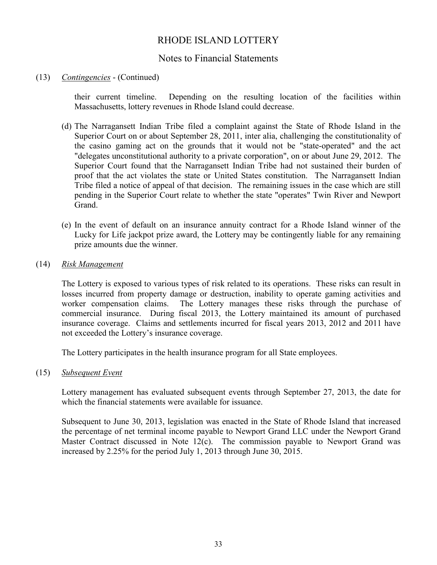## Notes to Financial Statements

## (13) *Contingencies* - (Continued)

their current timeline. Depending on the resulting location of the facilities within Massachusetts, lottery revenues in Rhode Island could decrease.

- (d) The Narragansett Indian Tribe filed a complaint against the State of Rhode Island in the Superior Court on or about September 28, 2011, inter alia, challenging the constitutionality of the casino gaming act on the grounds that it would not be "state-operated" and the act "delegates unconstitutional authority to a private corporation", on or about June 29, 2012. The Superior Court found that the Narragansett Indian Tribe had not sustained their burden of proof that the act violates the state or United States constitution. The Narragansett Indian Tribe filed a notice of appeal of that decision. The remaining issues in the case which are still pending in the Superior Court relate to whether the state "operates" Twin River and Newport Grand.
- (e) In the event of default on an insurance annuity contract for a Rhode Island winner of the Lucky for Life jackpot prize award, the Lottery may be contingently liable for any remaining prize amounts due the winner.

#### (14) *Risk Management*

The Lottery is exposed to various types of risk related to its operations. These risks can result in losses incurred from property damage or destruction, inability to operate gaming activities and worker compensation claims. The Lottery manages these risks through the purchase of commercial insurance. During fiscal 2013, the Lottery maintained its amount of purchased insurance coverage. Claims and settlements incurred for fiscal years 2013, 2012 and 2011 have not exceeded the Lottery's insurance coverage.

The Lottery participates in the health insurance program for all State employees.

(15) *Subsequent Event*

Lottery management has evaluated subsequent events through September 27, 2013, the date for which the financial statements were available for issuance.

Subsequent to June 30, 2013, legislation was enacted in the State of Rhode Island that increased the percentage of net terminal income payable to Newport Grand LLC under the Newport Grand Master Contract discussed in Note 12(c). The commission payable to Newport Grand was increased by 2.25% for the period July 1, 2013 through June 30, 2015.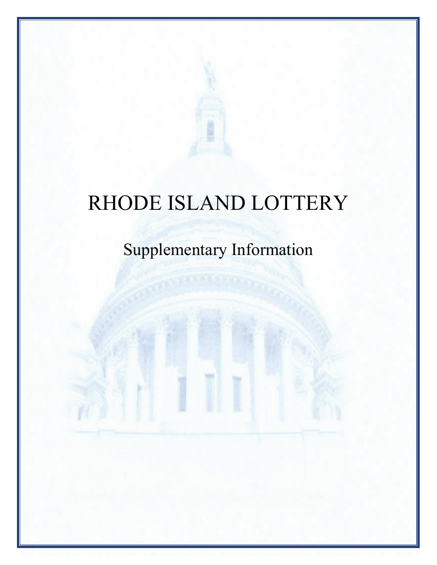# Supplementary Information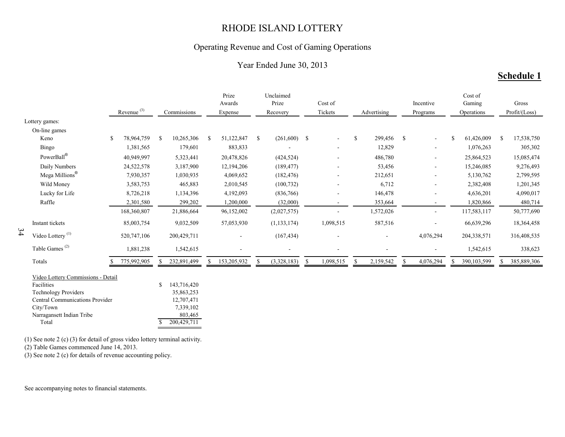## Operating Revenue and Cost of Gaming Operations

## Year Ended June 30, 2013

# **Schedule 1**

|    |                                                                                                                                                                                                                                                          | Revenue <sup>(3)</sup> |               | Commissions                                                                    |               | Prize<br>Awards<br>Expense |              | Unclaimed<br>Prize<br>Recovery | Cost of<br>Tickets |               | Advertising |                    | Incentive<br>Programs | Cost of<br>Gaming<br>Operations |    | Gross<br>Profit/(Loss) |
|----|----------------------------------------------------------------------------------------------------------------------------------------------------------------------------------------------------------------------------------------------------------|------------------------|---------------|--------------------------------------------------------------------------------|---------------|----------------------------|--------------|--------------------------------|--------------------|---------------|-------------|--------------------|-----------------------|---------------------------------|----|------------------------|
|    | Lottery games:                                                                                                                                                                                                                                           |                        |               |                                                                                |               |                            |              |                                |                    |               |             |                    |                       |                                 |    |                        |
|    | On-line games                                                                                                                                                                                                                                            |                        |               |                                                                                |               |                            |              |                                |                    |               |             |                    |                       |                                 |    |                        |
|    | Keno                                                                                                                                                                                                                                                     | \$<br>78,964,759       | <sup>\$</sup> | 10,265,306                                                                     | <sup>\$</sup> | 51,122,847                 | \$           | $(261,600)$ \$                 |                    | \$            | 299,456     | $\mathbf{\hat{S}}$ | $\blacksquare$        | 61,426,009                      | -S | 17,538,750             |
|    | Bingo                                                                                                                                                                                                                                                    | 1,381,565              |               | 179,601                                                                        |               | 883,833                    |              |                                |                    |               | 12,829      |                    | $\blacksquare$        | 1,076,263                       |    | 305,302                |
|    | PowerBall®                                                                                                                                                                                                                                               | 40,949,997             |               | 5,323,441                                                                      |               | 20,478,826                 |              | (424, 524)                     |                    |               | 486,780     |                    | $\blacksquare$        | 25,864,523                      |    | 15,085,474             |
|    | Daily Numbers                                                                                                                                                                                                                                            | 24,522,578             |               | 3,187,900                                                                      |               | 12,194,206                 |              | (189, 477)                     |                    |               | 53,456      |                    |                       | 15,246,085                      |    | 9,276,493              |
|    | Mega Millions®                                                                                                                                                                                                                                           | 7,930,357              |               | 1,030,935                                                                      |               | 4,069,652                  |              | (182, 476)                     |                    |               | 212,651     |                    | $\blacksquare$        | 5,130,762                       |    | 2,799,595              |
|    | Wild Money                                                                                                                                                                                                                                               | 3,583,753              |               | 465,883                                                                        |               | 2,010,545                  |              | (100, 732)                     |                    |               | 6,712       |                    | $\blacksquare$        | 2,382,408                       |    | 1,201,345              |
|    | Lucky for Life                                                                                                                                                                                                                                           | 8,726,218              |               | 1,134,396                                                                      |               | 4,192,093                  |              | (836,766)                      |                    |               | 146,478     |                    |                       | 4,636,201                       |    | 4,090,017              |
|    | Raffle                                                                                                                                                                                                                                                   | 2,301,580              |               | 299,202                                                                        |               | 1,200,000                  |              | (32,000)                       |                    |               | 353,664     |                    | $\blacksquare$        | 1,820,866                       |    | 480,714                |
|    |                                                                                                                                                                                                                                                          | 168,360,807            |               | 21,886,664                                                                     |               | 96,152,002                 |              | (2,027,575)                    |                    |               | 1,572,026   |                    | $\mathbf{r}$          | 117,583,117                     |    | 50,777,690             |
|    | Instant tickets                                                                                                                                                                                                                                          | 85,003,754             |               | 9,032,509                                                                      |               | 57,053,930                 |              | (1, 133, 174)                  | 1,098,515          |               | 587,516     |                    |                       | 66,639,296                      |    | 18,364,458             |
| 34 | Video Lottery <sup>(1)</sup>                                                                                                                                                                                                                             | 520,747,106            |               | 200,429,711                                                                    |               |                            |              | (167, 434)                     |                    |               |             |                    | 4,076,294             | 204,338,571                     |    | 316,408,535            |
|    | Table Games <sup>(2)</sup>                                                                                                                                                                                                                               | 1,881,238              |               | 1,542,615                                                                      |               |                            |              |                                |                    |               |             |                    | $\blacksquare$        | 1,542,615                       |    | 338,623                |
|    | Totals                                                                                                                                                                                                                                                   | 775,992,905            |               | 232,891,499                                                                    |               | 153,205,932                | <sup>S</sup> | (3,328,183)                    | \$<br>1,098,515    | <sup>\$</sup> | 2,159,542   | S.                 | 4,076,294             | 390,103,599                     |    | 385,889,306            |
|    | Video Lottery Commissions - Detail<br>Facilities<br><b>Technology Providers</b><br>Central Communications Provider<br>City/Town<br>Narragansett Indian Tribe<br>Total<br>$(1)$ See note 2 $(c)$ (3) for detail of gross video lottery terminal activity. |                        | S             | 143,716,420<br>35,863,253<br>12,707,471<br>7,339,102<br>803,465<br>200,429,711 |               |                            |              |                                |                    |               |             |                    |                       |                                 |    |                        |

(2) Table Games commenced June 14, 2013.

(3) See note 2 (c) for details of revenue accounting policy.

See accompanying notes to financial statements.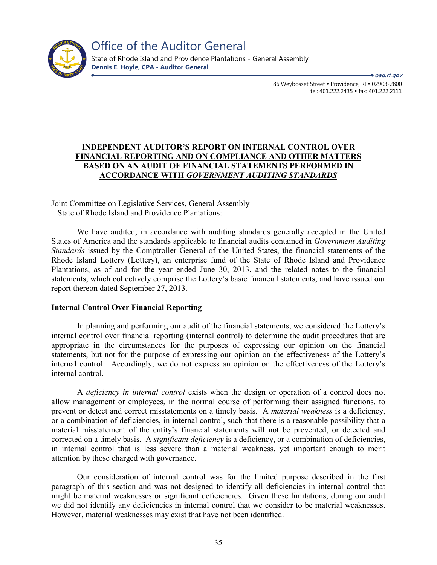

86 Weybosset Street • Providence, RI • 02903-2800 tel: 401.222.2435 · fax: 401.222.2111 ● *oag.ri.gov* 

#### **INDEPENDENT AUDITOR'S REPORT ON INTERNAL CONTROL OVER FINANCIAL REPORTING AND ON COMPLIANCE AND OTHER MATTERS BASED ON AN AUDIT OF FINANCIAL STATEMENTS PERFORMED IN ACCORDANCE WITH** *GOVERNMENT AUDITING STANDARDS*

Joint Committee on Legislative Services, General Assembly State of Rhode Island and Providence Plantations:

We have audited, in accordance with auditing standards generally accepted in the United States of America and the standards applicable to financial audits contained in *Government Auditing Standards* issued by the Comptroller General of the United States, the financial statements of the Rhode Island Lottery (Lottery), an enterprise fund of the State of Rhode Island and Providence Plantations, as of and for the year ended June 30, 2013, and the related notes to the financial statements, which collectively comprise the Lottery's basic financial statements, and have issued our report thereon dated September 27, 2013.

#### **Internal Control Over Financial Reporting**

In planning and performing our audit of the financial statements, we considered the Lottery's internal control over financial reporting (internal control) to determine the audit procedures that are appropriate in the circumstances for the purposes of expressing our opinion on the financial statements, but not for the purpose of expressing our opinion on the effectiveness of the Lottery's internal control. Accordingly, we do not express an opinion on the effectiveness of the Lottery's internal control.

A *deficiency in internal control* exists when the design or operation of a control does not allow management or employees, in the normal course of performing their assigned functions, to prevent or detect and correct misstatements on a timely basis. A *material weakness* is a deficiency, or a combination of deficiencies, in internal control, such that there is a reasonable possibility that a material misstatement of the entity's financial statements will not be prevented, or detected and corrected on a timely basis. A *significant deficiency* is a deficiency, or a combination of deficiencies, in internal control that is less severe than a material weakness, yet important enough to merit attention by those charged with governance.

Our consideration of internal control was for the limited purpose described in the first paragraph of this section and was not designed to identify all deficiencies in internal control that might be material weaknesses or significant deficiencies. Given these limitations, during our audit we did not identify any deficiencies in internal control that we consider to be material weaknesses. However, material weaknesses may exist that have not been identified.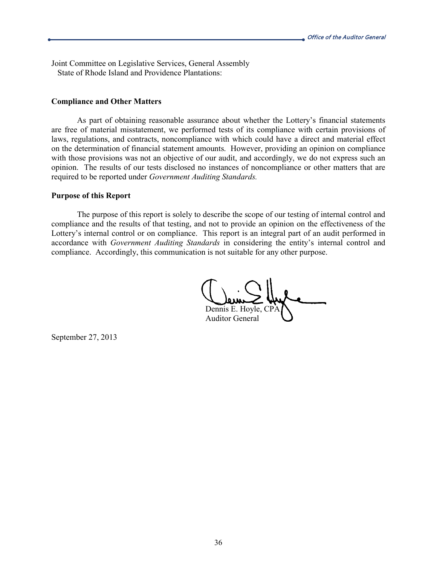Joint Committee on Legislative Services, General Assembly State of Rhode Island and Providence Plantations:

#### **Compliance and Other Matters**

As part of obtaining reasonable assurance about whether the Lottery's financial statements are free of material misstatement, we performed tests of its compliance with certain provisions of laws, regulations, and contracts, noncompliance with which could have a direct and material effect on the determination of financial statement amounts. However, providing an opinion on compliance with those provisions was not an objective of our audit, and accordingly, we do not express such an opinion. The results of our tests disclosed no instances of noncompliance or other matters that are required to be reported under *Government Auditing Standards.*

#### **Purpose of this Report**

The purpose of this report is solely to describe the scope of our testing of internal control and compliance and the results of that testing, and not to provide an opinion on the effectiveness of the Lottery's internal control or on compliance. This report is an integral part of an audit performed in accordance with *Government Auditing Standards* in considering the entity's internal control and compliance. Accordingly, this communication is not suitable for any other purpose.

Dennis E. Hoy Auditor General

September 27, 2013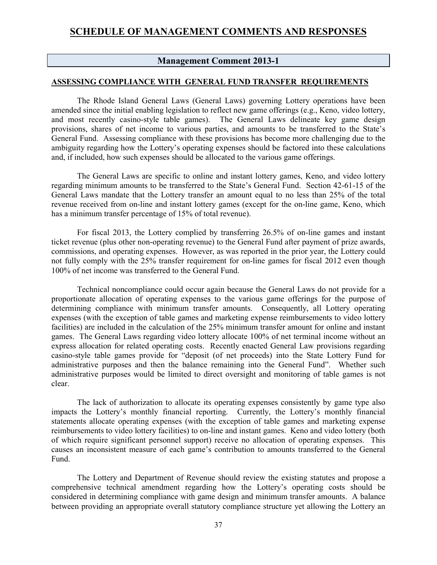## **Management Comment 2013-1**

#### **ASSESSING COMPLIANCE WITH GENERAL FUND TRANSFER REQUIREMENTS**

The Rhode Island General Laws (General Laws) governing Lottery operations have been amended since the initial enabling legislation to reflect new game offerings (e.g., Keno, video lottery, and most recently casino-style table games). The General Laws delineate key game design provisions, shares of net income to various parties, and amounts to be transferred to the State's General Fund. Assessing compliance with these provisions has become more challenging due to the ambiguity regarding how the Lottery's operating expenses should be factored into these calculations and, if included, how such expenses should be allocated to the various game offerings.

The General Laws are specific to online and instant lottery games, Keno, and video lottery regarding minimum amounts to be transferred to the State's General Fund. Section 42-61-15 of the General Laws mandate that the Lottery transfer an amount equal to no less than 25% of the total revenue received from on-line and instant lottery games (except for the on-line game, Keno, which has a minimum transfer percentage of 15% of total revenue).

For fiscal 2013, the Lottery complied by transferring 26.5% of on-line games and instant ticket revenue (plus other non-operating revenue) to the General Fund after payment of prize awards, commissions, and operating expenses. However, as was reported in the prior year, the Lottery could not fully comply with the 25% transfer requirement for on-line games for fiscal 2012 even though 100% of net income was transferred to the General Fund.

Technical noncompliance could occur again because the General Laws do not provide for a proportionate allocation of operating expenses to the various game offerings for the purpose of determining compliance with minimum transfer amounts. Consequently, all Lottery operating expenses (with the exception of table games and marketing expense reimbursements to video lottery facilities) are included in the calculation of the 25% minimum transfer amount for online and instant games. The General Laws regarding video lottery allocate 100% of net terminal income without an express allocation for related operating costs. Recently enacted General Law provisions regarding casino-style table games provide for "deposit (of net proceeds) into the State Lottery Fund for administrative purposes and then the balance remaining into the General Fund". Whether such administrative purposes would be limited to direct oversight and monitoring of table games is not clear.

The lack of authorization to allocate its operating expenses consistently by game type also impacts the Lottery's monthly financial reporting. Currently, the Lottery's monthly financial statements allocate operating expenses (with the exception of table games and marketing expense reimbursements to video lottery facilities) to on-line and instant games. Keno and video lottery (both of which require significant personnel support) receive no allocation of operating expenses. This causes an inconsistent measure of each game's contribution to amounts transferred to the General Fund.

The Lottery and Department of Revenue should review the existing statutes and propose a comprehensive technical amendment regarding how the Lottery's operating costs should be considered in determining compliance with game design and minimum transfer amounts. A balance between providing an appropriate overall statutory compliance structure yet allowing the Lottery an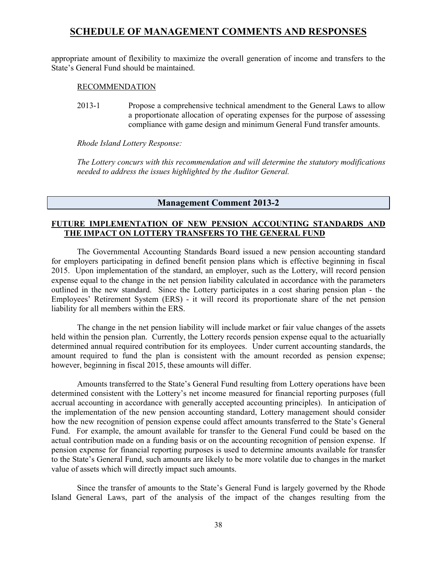appropriate amount of flexibility to maximize the overall generation of income and transfers to the State's General Fund should be maintained.

#### RECOMMENDATION

2013-1 Propose a comprehensive technical amendment to the General Laws to allow a proportionate allocation of operating expenses for the purpose of assessing compliance with game design and minimum General Fund transfer amounts.

*Rhode Island Lottery Response:*

*The Lottery concurs with this recommendation and will determine the statutory modifications needed to address the issues highlighted by the Auditor General.*

## **Management Comment 2013-2**

### **FUTURE IMPLEMENTATION OF NEW PENSION ACCOUNTING STANDARDS AND THE IMPACT ON LOTTERY TRANSFERS TO THE GENERAL FUND**

The Governmental Accounting Standards Board issued a new pension accounting standard for employers participating in defined benefit pension plans which is effective beginning in fiscal 2015. Upon implementation of the standard, an employer, such as the Lottery, will record pension expense equal to the change in the net pension liability calculated in accordance with the parameters outlined in the new standard. Since the Lottery participates in a cost sharing pension plan - the Employees' Retirement System (ERS) - it will record its proportionate share of the net pension liability for all members within the ERS.

The change in the net pension liability will include market or fair value changes of the assets held within the pension plan. Currently, the Lottery records pension expense equal to the actuarially determined annual required contribution for its employees. Under current accounting standards, the amount required to fund the plan is consistent with the amount recorded as pension expense; however, beginning in fiscal 2015, these amounts will differ.

Amounts transferred to the State's General Fund resulting from Lottery operations have been determined consistent with the Lottery's net income measured for financial reporting purposes (full accrual accounting in accordance with generally accepted accounting principles). In anticipation of the implementation of the new pension accounting standard, Lottery management should consider how the new recognition of pension expense could affect amounts transferred to the State's General Fund. For example, the amount available for transfer to the General Fund could be based on the actual contribution made on a funding basis or on the accounting recognition of pension expense. If pension expense for financial reporting purposes is used to determine amounts available for transfer to the State's General Fund, such amounts are likely to be more volatile due to changes in the market value of assets which will directly impact such amounts.

Since the transfer of amounts to the State's General Fund is largely governed by the Rhode Island General Laws, part of the analysis of the impact of the changes resulting from the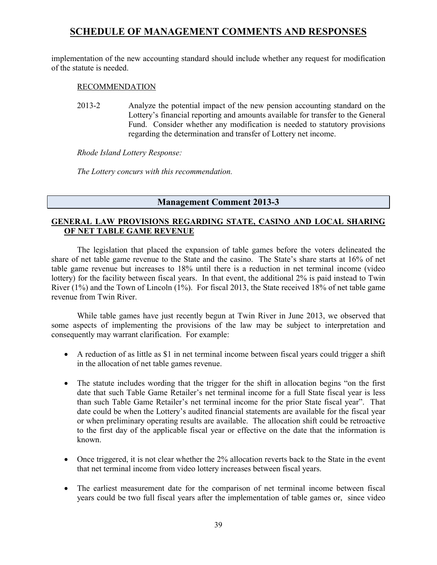implementation of the new accounting standard should include whether any request for modification of the statute is needed.

#### RECOMMENDATION

2013-2 Analyze the potential impact of the new pension accounting standard on the Lottery's financial reporting and amounts available for transfer to the General Fund. Consider whether any modification is needed to statutory provisions regarding the determination and transfer of Lottery net income.

*Rhode Island Lottery Response:*

*The Lottery concurs with this recommendation.*

## **Management Comment 2013-3**

#### **GENERAL LAW PROVISIONS REGARDING STATE, CASINO AND LOCAL SHARING OF NET TABLE GAME REVENUE**

The legislation that placed the expansion of table games before the voters delineated the share of net table game revenue to the State and the casino. The State's share starts at 16% of net table game revenue but increases to 18% until there is a reduction in net terminal income (video lottery) for the facility between fiscal years. In that event, the additional 2% is paid instead to Twin River (1%) and the Town of Lincoln (1%). For fiscal 2013, the State received 18% of net table game revenue from Twin River.

While table games have just recently begun at Twin River in June 2013, we observed that some aspects of implementing the provisions of the law may be subject to interpretation and consequently may warrant clarification. For example:

- A reduction of as little as \$1 in net terminal income between fiscal years could trigger a shift in the allocation of net table games revenue.
- The statute includes wording that the trigger for the shift in allocation begins "on the first date that such Table Game Retailer's net terminal income for a full State fiscal year is less than such Table Game Retailer's net terminal income for the prior State fiscal year". That date could be when the Lottery's audited financial statements are available for the fiscal year or when preliminary operating results are available. The allocation shift could be retroactive to the first day of the applicable fiscal year or effective on the date that the information is known.
- Once triggered, it is not clear whether the 2% allocation reverts back to the State in the event that net terminal income from video lottery increases between fiscal years.
- The earliest measurement date for the comparison of net terminal income between fiscal years could be two full fiscal years after the implementation of table games or, since video